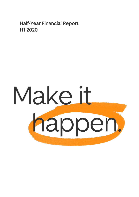**Half-Year Financial Report H1 2020**

# Make it happen.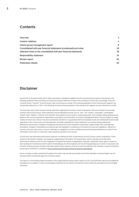# **Contents**

| Overview                                                          | 3  |
|-------------------------------------------------------------------|----|
| Investor relations                                                | 4  |
| Interim group management report                                   | 8  |
| Consolidated half-year financial statements (condensed) and notes | 29 |
| Selected notes to the consolidated half-year financial statements | 38 |
| Responsibility statement                                          | 61 |
| Review report                                                     | 62 |
| <b>Publication details</b>                                        | 63 |

# **Disclaimer**

Scout24 AG as the parent entity and its direct and indirect subsidiaries together form the Scout24 Group. Insofar as information in the following statement refers exclusively to Scout24 AG, express reference is made to the Company ("Scout24 AG") accordingly. The terms "Scout24 Group", "Scout24", "Scout24 Group" refer to the Group as a whole. The continuing operations of the ImmoScout24 segment are occasionally referred to as "IS24" in the following; the discontinued operations of the AutoScout24 segment are also referred to as "AS24".

This document may contain forward-looking statements regarding the business, results of operations, financial condition and earnings outlook of the Scout24 Group. These statements may be identified by words such as "may", "will", "expect", "anticipate", "contemplate", "intend", "plan", "believe", "continue" and "estimate" and variations of such words or similar expressions. Such forward-looking statements are based on the current assessments, expectations, assumptions and information of Scout24's Management Board. They are subject to a large number of known and unknown risks and uncertainties and there is no guarantee that the anticipated results and developments will actually materialise. In fact, actual results and developments may differ materially from those reflected in our forward-looking statements. Differences may be due to changes in the general macroeconomic and competitive environment, capital market risks, exchange rate fluctuations, changes in international and national laws and regulations, including but not limited to tax laws and regulations, relevant for Scout24, and many other factors. Scout24 undertakes no obligation to revise or update any forward-looking statements as a result of new information, future events or otherwise, unless expressly required to do so by law.

Scout24 also uses alternative performance measures, not defined by IFRS, to describe the Scout24 Group's results of operations. These should not be viewed in isolation, but treated as supplementary information. The special items used to calculate some alternative performance measures arise from the integration of acquired businesses, reorganisation measures, impairment losses, gains or losses on sale resulting from divestitures and the sale of shareholdings, and other expenses and income that generally do not arise in conjunction with Scout24's ordinary business activities. Alternative performance measures used by Scout24 are defined in the "Glossary" section of Scout24's annual report 2019 which is available a[t www.scout24.com/en/investors/financial-reports-presentations.](https://www.scout24.com/en/investors/financial-reports-presentations)

Due to rounding, numbers presented throughout this report may not add up precisely to the totals indicated, and percentages may not precisely reflect the absolute figures for the same reason.

This report is a non-binding English translation of the original German group interim report as of 30 June 2019. Both reports are available for download on our website. In case of any divergence between the two reports, the German version shall have precedence over the English translation.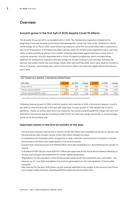# <span id="page-2-0"></span>**Overview**

# **Scout24 grows in the first half of 2020 despite Covid-19 effects**

The Scout24 Group got off to an excellent start in 2020. The membership migrations initiated at the beginning of the year showed a promising initial development, as has the "free-to-list" initiative for certain rental listings. On 12 March 2020, social distancing measures came into force Germany-wide in response to the Covid-19 pandemic. In the following week (calendar week 12), ImmoScout24 registered lows in user and visitor numbers (traffic) as well as in the number of listings. Real estate agents reported a sharp drop in customer enquiries. Scout24 responded with a Covid-19 support programme, which included billing deferrals for professional customers and free listings for private customers until mid-May. However, the German real estate market was surprisingly robust. After April and May 2020, which were weak for Scout24 in terms of revenue, June already saw a return to the level in March and was even slightly above the previous year's level.

| EUR million                      | Q2 2020 | Q2 2019 <sup>1</sup> | Change    | H <sub>1</sub> 2020 | H1 2019 <sup>1</sup> | Change    |
|----------------------------------|---------|----------------------|-----------|---------------------|----------------------|-----------|
| Group revenue                    | 83.9    | 86.9                 | $-3.5%$   | 173.0               | 171.3                | $+1.0%$   |
| Ordinary operating EBITDA        | 50.3    | 53.7                 | $-6.2%$   | 105.4               | 101.8                | $+3.6%$   |
| Ordinary operating EBITDA margin | 60.0%   | 61.7%                | $-1.7$ pp | 61.0%               | 59.4%                | $+1.6$ pp |

### **KEY FINANCIALS (GROUP, CONTINUING OPERATIONS)**

1 In accordance with IFRS 5, the previous year's figures were retrospectively adjusted for discontinued operations.

Following revenue growth of 5.6% in the first quarter and a decline of 3.5% in the second quarter, Scout24 was able to close the first half of the year with slight year-on-year growth of 1.0% despite the Covid-19 pandemic. Thanks to various short-term cost measures, the ordinary operating EBITDA margin still came out at 60.0% in the second quarter of 2020 (Q2 2019: 61.7%). The half-year margin was 61.0%, or 1.6 percentage points up on the previous year.

# **Important events in the first six months of the year**

- The first share buyback tranche with a volume of EUR 150 million was completed at the end of January; the second tranche with a target volume of EUR 490 million initiated on 6 April.
- A comprehensive immediate-action programme to help customers overcome the coronavirus crisis was announced on 20 March and implemented in the second quarter.
- AutoScout24, FinanceScout24 and FINANZCHECK were deconsolidated on 1 April following the transfer of control.
- A dividend of EUR 0.91 per share (EUR 93.7 million) was approved at the virtual Annual General Meeting on 18 June and the basis was established for further capital repayments.
- Negotiations for the acquisition of the Hamburg real estate portal immoverkauf24 were concluded the takeover as of 1 July 2020 strengthens the business generated from the intermediation of home seller mandates.
- New forecast for the year 2020 drawn up with revenue expected to be roughly at the previous year's level and a target margin (ordinary operating EBITDA margin) around the 60% mark.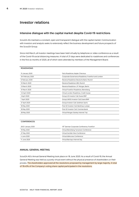# <span id="page-3-0"></span>**Investor relations**

# **Intensive dialogue with the capital market despite Covid-19 restrictions**

Scout24 AG maintains a constant, open and transparent dialogue with the capital market. Communication with investors and analysts seeks to extensively reflect the business development and future prospects of the Scout24 Group.

Since mid-March, all investor meetings have been held virtually by telephone or video conference as a result of the Covid-19 social distancing measures. A total of 21 days were dedicated to roadshows and conferences in the first six months of 2020, all of which were attended by members of the Management Board.

| <b>ROADSHOWS</b>  |                                                     |
|-------------------|-----------------------------------------------------|
| 15 January 2020   | Paris Roadshow, Kepler Chevreux                     |
| 3/4 February 2020 | Corporate Governance Roadshow, Frankfurt and London |
| 6 February 2020   | Reverse Roadshow Deutsche Bank, Munich              |
| 10 March 2020     | Reverse Roadshow UBS, Munich                        |
| 13 March 2020     | Reverse Roadshow J.P. Morgan, Berlin                |
| 31 March 2020     | Virtual Frankfurt Roadshow, Berenberg               |
| 1/2 April 2020    | Virtual London Roadshow, Credit Suisse              |
| 3 April 2020      | Group US Investor Call, Exane BNP                   |
| 7 April 2020      | Group UK/EU Investor Call, Exane BNP                |
| 27 April 2020     | Group Investor Call, Goldman Sachs                  |
| 18 May 2020       | Post Q1 Investor Call, Bankhaus Lampe               |
| 18 May 2020       | Post Q1 Investor Call, Commerzbank                  |
| 28 May 2020       | Virtual Morgan Stanley Internet Trip                |

|  | <b>CONFERENCES</b> |
|--|--------------------|

| 20/21 January 2020 | 19th German Corporate Conference, Frankfurt |
|--------------------|---------------------------------------------|
| 19 May 2020        | Virtual Berenberg Tarrytown Conference      |
| 27 May 2020        | Virtual SocGén Nice Conference              |
| 4 June 2020        | Virtual dbAccess Conference                 |
| 11 June 2020       | Virtual Barclays Internet Day               |

# **ANNUAL GENERAL MEETING**

Scout24 AG's Annual General Meeting took place on 18 June 2020. As a result of Covid-19, the Annual General Meeting was held as a purely virtual event without the physical presence of shareholders or their proxies. The shareholders approved all the resolutions proposed by management by large majority. A total of 78.43% of the Company's voting share capital participated in the resolutions.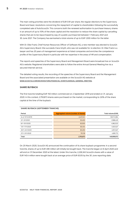The main voting priorities were the dividend of EUR 0.91 per share, the regular elections to the Supervisory Board and basic resolutions concerning the repayment of capital to shareholders following the successfully completed sale of AutoScout24. This concerns both the renewed authorisation to purchase treasury shares in an amount of up to 10% of the share capital and the resolution to reduce the share capital by cancelling shares that are to be repurchased by way of a public purchase bid between 1 February 2021 and 30 June 2021. The Company has earmarked a total volume of up to EUR 1,000 million for the latter.

With Dr. Elke Frank, Chief Human Resources Officer of Software AG, a new member was elected to Scout24 AG's Supervisory Board. She succeeds Ciara Smyth, who was not available for re-election. Dr. Elke Frank is a lawyer and has 20 years of management experience at listed companies and enriches the competence profile of the Supervisory Board in particular with her expertise in the areas of HR and compensation.

The reports and speeches of the Supervisory Board and Management Board were broadcast live on Scout24 AG's website. Registered shareholders were able to follow the entire Annual General Meeting live via a secured Internet service.

The detailed voting results, the recording of the speeches of the Supervisory Board and the Management Board and the associated presentation are available on the Scout24 AG website at **[WWW.SCOUT24.COM/EN/INVESTORS/FINANCIAL-EVENTS/ANNUAL-GENERAL-MEETING](https://www.scout24.com/en/investors/financial-events/annual-general-meeting)**.

### **SHARE BUYBACK**

The first tranche totalling EUR 150 million commenced on 2 September 2019 and ended on 31 January 2020. In this context, 2,793,873 shares were purchased on the market, corresponding to 2.6% of the share capital at the time of the buyback.

### **SHARE BUYBACK (SEPTEMBER TRANCHE)**

| Period           | Aggregated volume (number of shares) | Total volume (EUR) |
|------------------|--------------------------------------|--------------------|
| As of 31/12/2019 | 2,437,041                            | 128,174,984        |
| $2/1 - 3/1/2020$ | 50,400                               | 2,986,425          |
| 6/1-10/1/2020    | 83,000                               | 4,962,023          |
| 13/1-17/1/2020   | 80,454                               | 4,923,527          |
| 20/1-24/1/2020   | 80,250                               | 4,972,527          |
| 27/1-31/1/2020   | 79,728                               | 4,981,772          |
| Total            | 2,793,873                            | 149,999,973        |

On 25 March 2020, Scout24 AG announced the continuation of its share buyback programme. In a second tranche, shares of up to EUR 490 million will initially be bought back. The tranche began on 6 April 2020 and will end on 31 December 2020 at the latest. Under this tranche, 2,226,345 Scout24 shares with a value of EUR 140.4 million were bought back at an average price of EUR 63.05 by the 30 June reporting date.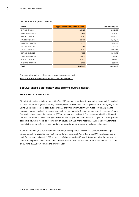| Period              | Aggregated volume (number of shares) | Total volume (EUR) |
|---------------------|--------------------------------------|--------------------|
| 6/4/2020-9/4/2020   | 229,529                              | 12,892,390         |
| 14/4/2020-17/4/2020 | 333,694                              | 19,117,321         |
| 20/4/2020-23/4/2020 | 440,401                              | 26,130,591         |
| 11/5/2020-15/5/2020 | 213,037                              | 13,040,901         |
| 18/5/2020-22/5/2020 | 47,773                               | 3,107,198          |
| 25/5/2020-29/5/2020 | 227,967                              | 15,307,837         |
| 1/6/2020-5/6/2020   | 155,160                              | 10,817,558         |
| 8/6/2020-12/6/2020  | 231,950                              | 16,049,770         |
| 15/6/2020-19/6/2020 | 57,038                               | 3,891,663          |
| 22/6/2020-26/6/2020 | 240,490                              | 16,619,171         |
| 29/6/2020-30/6/2020 | 49,306                               | 3,394,117          |
| Total               | 2,226,345                            | 140,368,518        |

# **SHARE BUYBACK (APRIL TRANCHE)**

For more information on the share buyback programme, visit **[WWW.SCOUT24.COM/EN/INVESTORS/SHARE/SHARE-BUYBACKS.](https://www.scout24.com/en/investors/share/share-buybacks)**

# **Scout24 share significantly outperforms overall market**

# **SHARE PRICE DEVELOPMENT**

Global stock market activity in the first half of 2020 was almost entirely dominated by the Covid-19 pandemic and its impact on the global economy's development. The initial economic optimism after the signing of the China-US trade agreement soon evaporated. As the virus, which was initially limited to China, spread to become a global pandemic, investors were instead dominated by fears of a sharp global recession. Within a few weeks, share prices plummeted by 30% or more across the board. The crash was halted in mid-March thanks to extensive stimulus packages and economic support measures. Investors hoped that the expected economic downturn would be followed by an equally fast and strong recovery. In June, however, far more pessimistic economic forecasts put markets temporarily under pressure with shares being sold.

In this environment, the performance of Germany's leading index, the DAX, was characterised by high volatility, which however led to a relatively moderate loss overall. Accordingly, the DAX initially reached a peak for the year to date of 13,789 points on 19 February, and on 18 March it reached a low for the year to date of 8,442 points, down around 39%. The DAX finally closed the first six months of the year at 12,311 points on 30 June 2020, down 7.1% on the previous year.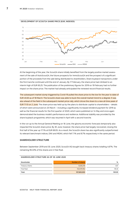

At the beginning of the year, the Scout24 share initially benefited from the largely positive market assessment of the sale of AutoScout24, the future prospects for ImmoScout24 and the prospect of a significant portion of the proceeds from the sale being distributed to shareholders. Share buyback transactions under the first tranche continued until the end of January. By 17 February, the share price had climbed to an interim high of EUR 65.25. The publication of the preliminary figures for 2019 on 19 February had no further impact on the share price. The market had already anticipated the renewed record financial results.

The subsequent market slump triggered by Covid-19 pulled the share price to the low for the year to date of EUR 45.50 as of 18 March. The Scout24 share was able to buck the overall market trend to a degree. It was also ahead of the field in the subsequent market price rally, which drove the share to a new all-time peak of EUR 71.10 on 2 June. The share price was held up by the plans to distribute capital to shareholders – details of which were announced on 25 March – including a significantly increased dividend payment for 2019 as well as the financial results for the first quarter of 2020, which were published on 14 May and once again demonstrated the business model's performance and resilience. Additional stability was provided by the share buyback programme, which was resumed in April with a second tranche.

In the run-up to the Annual General Meeting on 18 June, the gloomy economic forecasts temporarily also impacted the Scout24 share price. By 30 June, however, the share price had largely recovered, closing the first half of the year up 17.1% at EUR 69.05. As a result, the Scout24 share has also significantly outperformed its relevant benchmark indices, DAX and MDAX, which fell 7.1% and 8.7% respectively in the same period.

# **SHAREHOLDER STRUCTURE**

Between September 2019 and 30 June 2020, Scout24 AG bought back treasury shares totalling 4.67%. The remaining 95.33% of the shares are in free float.

| Shareholder     | Number of shares | %      |
|-----------------|------------------|--------|
| Treasury shares | 5,020,218        | 4.67   |
| Free float      | 102,579,782      | 95.33  |
| Total           | 107,600,000      | 100.00 |

# **SHAREHOLDER STRUCTURE AS OF 30 JUNE 2020**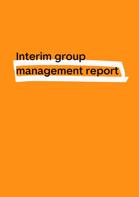<span id="page-7-0"></span>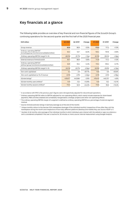# **Key financials at a glance**

The following table provides an overview of key financial and non-financial figures of the Scout24 Group's continuing operations for the second quarter and the first half of the 2020 financial year.

| <b>EUR million</b>                                                                        | Q2 2020 | Q2 2019 <sup>1</sup> | Change    | H1 2020 | H1 2019 <sup>1</sup> | Change    |
|-------------------------------------------------------------------------------------------|---------|----------------------|-----------|---------|----------------------|-----------|
|                                                                                           |         |                      |           |         |                      |           |
| Group revenue                                                                             | 83.9    | 86.9                 | $-3.5%$   | 173.0   | 171.3                | $+1.0%$   |
| Ordinary operating EBITDA <sup>2</sup><br>(including group functions/consolidation/other) | 50.3    | 53.7                 | $-6.2%$   | 105.4   | 101.8                | $+3.6%$   |
| Ordinary operating EBITDA margin <sup>3</sup> in %                                        | 60.0%   | 61.7%                | $-1.7$ pp | 61.0%   | 59.4%                | $+1.6$ pp |
| External revenue of ImmoScout24                                                           | 83.7    | 86.9                 | $-3.6%$   | 172.8   | 171.2                | $+1.0%$   |
| Ordinary operating EBITDA <sup>2</sup><br>(without group functions/consolidation/other)   | 52.9    | 55.4                 | $-4.4%$   | 110.4   | 105.4                | $+4.7%$   |
| Ordinary operating EBITDA margin <sup>3</sup> in %                                        | 63.2%   | 63.7%                | $-0.5$ pp | 63.9%   | 61.6%                | $+2.3$ pp |
| Own work capitalised                                                                      | 5.4     | 2.9                  | +87.7%    | 10.8    | 5.9                  | +83.6%    |
| Own work capitalised as % of revenue                                                      | 6.5%    | 3.3%                 | $+3.2pp$  | 6.3%    | 3.4%                 | $+2.9$ pp |
| IS24.de listings <sup>4</sup>                                                             | 430,677 | 443,566              | $-2.9%$   | 419,415 | 440,751              | $-4.8%$   |
| IS24.de monthly users (million) <sup>5</sup>                                              | 14.9    | 13.2                 | $+12.9%$  | 14.8    | 13.2                 | $+12.1%$  |
| IS24.de monthly sessions (million) <sup>6</sup>                                           | 115.5   | 92.9                 | $+24.2%$  | 110.6   | 95.8                 | $+15.4%$  |

1 In accordance with IFRS 5, the previous year's figures were retrospectively adjusted for discontinued operations.

<sup>2</sup> Ordinary operating EBITDA refers to EBITDA adjusted for non-operating effects, which mainly include expenses for share-based payments, M&A activities (realised and unrealised), reorganisation, strategic projects and other non-operating effects.

<sup>3</sup> The ordinary operating EBITDA margin of a segment is defined as ordinary operating EBITDA as a percentage of external segment revenue.

<sup>4</sup> Source: ImmoScout24.de; listings in Germany (average as of the end of the month)

<sup>5</sup> Unique monthly visitors to the German IS24 marketplace (average of the individual months), irrespective of how often they visit the marketplace during the month and irrespective of how many different platforms (desktop and mobile) they use; Source: AGOF e. V.

<sup>6</sup> Number of all monthly visits (average of the individual months) in which individual users interact with the website or app via a device; a visit is considered completed if the user is inactive for 30 minutes or more; source: internal measurement using Google Analytics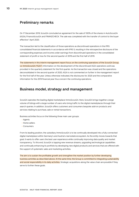# **Preliminary remarks**

On 17 December 2019, Scout24 concluded an agreement for the sale of 100% of the shares in AutoScout24 (AS24), FinanceScout24 and FINANZCHECK. The sale was completed with the transfer of control to the buyer effective 1 April 2020.

The transaction led to the classification of those operations as discontinued operations in the IFRS consolidated financial statements in accordance with IFRS 5, resulting in the retrospective disclosure of the corresponding expenses and income under earnings from discontinued operations in the consolidated statement of profit or loss for the second quarter of 2019 and the first half of 2019.

The statements in this interim management report focus on the continuing operations of the Scout24 Group, i.e. ImmoScout24 ("IS24"). Information on the development of the discontinued AS24 operations sold was provided in the quarterly statement for the first quarter. As the transaction was closed and the operations deconsolidated in the second quarter of 2020, AS24 is not commented on further in the management report for the first half of the year. Unless otherwise indicated, the disclosures for 2020 and the comparative information for the 2019 financial year thus concern the continuing operations.

# **Business model, strategy and management**

Scout24 operates the leading digital marketplace ImmoScout24. Here, Scout24 brings together a large volume of listings with a large number of users who bring traffic to the digital marketplaces through their search queries. In addition, Scout24 offers customers and consumers bespoke add-on products and services relating to purchase, sale or rental transactions.

Business activities focus on the following three main user groups:

- Agents
- Home sellers
- Consumers

From its leading position, the subsidiary ImmoScout24 is to be continually developed into a fully connected digital marketplace within Germany's and Austria's real estate ecosystem. As the entity moves towards that goal, it wants to offer users the best user experience while continually improving data quality and market transparency. To this end, Scout24 is tapping new revenue streams, upgrading technological capabilities and continually enhancing its portfolio by developing new digital products and services that are offered with the support of systematic sales and marketing activities.

The aim is to sustain the profitable growth and strengthen the market position by further developing business activities as described above. At the same time, the Group is committed to integrating sustainability and social responsibility in its daily activities. Strategic acquisitions along the value chain are possible if they serve to further these goals.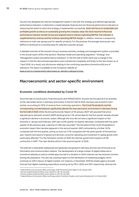Scout24 has designed the internal management system in line with the strategy and defined appropriate performance indicators. A distinction is made between financial and non-financial performance indicators in measuring the extent to which the strategy is implemented successfully. Given the focus on sustainable and profitable growth as well as on sustainably growing the company value, the most important (financial) performance indicator at both Group and segment level is ordinary operating EBITDA. This indicator is supplemented by revenue and the ordinary operating EBITDA margin. In addition, revenue is analysed by reference to main user groups and for specific products. For this purpose, the average revenue per user (ARPU) is monitored on a monthly basis for selected customer groups.

A detailed overview of the Scout24 Group's business activities, strategy and management system is provided in the annual report 2019 in the sections "Business model and operating segments", "Strategy" and "Management system and performance indicators". In the first half of 2020, there was a change in this respect in that the discontinued operations were transferred completely and finally to the new owners as of 1 April 2020. As a result, only disclosures relating to the continuing operations (ImmoScout24) are of relevance. The report is available on the Company's website at

**[WWW.SCOUT24.COM/EN/INVESTORS/FINANCIAL-REPORTS-PRESENTATIONS.](https://www.scout24.com/en/investors/financial-reports-presentations)**

# **Macroeconomic and sector-specific environment**

# **Economic conditions dominated by Covid-19**

Since the sale of AutoScout24, FinanceScout24 and FINANZCHECK, Scout24 has focused all of its activities on the real estate sector in Germany and Austria. In the first half of 2020, Germany was Scout24's main market, accounting for 97% of revenue from continuing operations. The Covid-19 pandemic and the corresponding countermeasures significantly altered the macroeconomic environment in Germany during the first half of 2020. While the Annual Economic Report of 29 January 2020<sup>1</sup> still assumed that priceadjusted gross domestic product (GDP) would grow by 1.1%, actual data for the first quarter already showed a significant decline in economic output. Although the virus did not have a significant impact on the economy in January and February, GDP saw a 2.0% quarter-on-quarter decrease. Compared with the same quarter of the previous year, a decline of 1.8% was recorded.<sup>2</sup> The full extent of the Covid-19 pandemic's economic impact then became apparent in the second quarter: GDP contracted by a further 10.1% compared with the first quarter, and by as much as 11.7% compared with the same quarter of the previous year. Imports and exports of goods and services, consumer spending and investment in capital goods were particularly affected.<sup>3</sup> For the full twelve months of 2020, the German government expects a 6.3% contraction in GDP.<sup>4</sup> The main decline will be in the second quarter of 2020.

The Internet is meanwhile widespread and generally recognised in Germany and the rest of Europe as an information and communication medium. The development of a large number of digital media and ecommerce websites as well as mobile apps has led to a situation in which Internet use has become common among the population. This also has a lasting impact on the distribution of marketing budgets, which continues to shift in favour of digital markets. For instance, in December 2019 the media agency GroupM forecast that digital marketing expenditure would grow by 5% in 2020 and 2021 respectively, whereas the

<sup>1</sup> Federal Ministry for Economic Affairs and Energy, 2020 Annual Economic Report of 29 January 2020

<sup>2</sup> German Federal Statistical Office, press release no. 287, 30 July 2020

<sup>3</sup> German Federal Statistical Office, press release no. 287, 30 July 2020

<sup>4</sup> Federal Ministry for Economic Affairs and Energy, article "Economic Situation and Cyclical Development" of 29 April 2020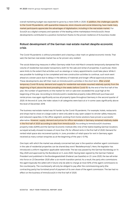overall marketing budget was expected to grow by a mere 0.6% in 2020. In addition, the challenges specific to the Covid-19 pandemic, with quarantine measures, store closures and social distancing, have made many market participants appreciate the advantages of digitalisation, including in the real estate market. For Scout24 as a digital company and operator of the leading online marketplace ImmoScout24, these developments contributed to a positive momentum thanks to the proven resilience of its business model.

# **Robust development of the German real estate market despite economic crisis**

The Covid-19 pandemic is without precedent and is leaving a clear mark on global economic trends. That said, the German real estate market has so far proven very resilient.

The social distancing measures in effect Germany-wide from mid-March onwards temporarily dampened the volume of residential real estate transactions, both for the sale and rental of properties. In particular, there were limits to the extent that activities such as viewings or notary appointments could take place. While it was possible for buildings to be completed and new construction activities to continue, such work went ahead at a slower pace due to delays in the delivery of materials and longer official approval processes. These developments also left their mark on ImmoScout24's activities in the short term. After a brief, temporary Covid-19 slump, demand and supply for residential real estate resumed relatively quickly from the beginning of April, above the level prevailing in the weeks before Covid-19. By the end of the first half of the year, the number of apartments on the market for rent or sale even exceeded the usual high at the beginning of the year. According to ImmoScout24's residential property index (IMX) both purchase and rental prices rose again significantly across all property types throughout Germany in the second quarter of 2020. At the end of June, the index values in all categories were back at or in some cases significantly above the level of December 2019.

The business real estate market was hit harder by the Covid-19 pandemic. For example, hotels, restaurants and shops had to close on a large scale or were only able to stay open subject to stricter safety measures and reduced capacities. In the office segment, working-from-home solutions have proven a successful alternative. However, supply, demand and prices for office real estate in Germany remained relatively stable in the first half of 2020 according to data from ImmoScout24. According to ImmoScout24's business property index (GIMX) and the German Economic Institute (IW), nine of the twelve leading German locations surveyed actually showed increases of more than 2% for offered rents in the first half of 2020. Demand for rented retail space also recovered quickly: in June, providers of retail space for rent in Germany again received as many contact enquiries as at the beginning of the year (–0.1%).

One topic with which the market was already concerned last year is the question whether agent commission in the sale of residential properties can be shared (key word "Bestellerprinzip"). Here, the legislator has introduced a uniform regulation applicable nationwide. The law was passed by the German Bundestag on 14 May 2020 and approved by the Bundesrat on 5 June 2020. Having been signed by the German Federal President and published in the Bundesgesetzblatt (Federal Law Gazette) on 23 June 2020, the law will enter into force on 23 December 2020 after a six-month transition period. As a result, the party who commissions the agent (typically the seller) will in future only be able to charge at most 50% of the agent commissions to the counterparty. The counterparty will only be obliged to pay after the commissioning party (the contracting party) has furnished proof of payment of its own share of the agent commission. The law had no effect on the business of ImmoScout24 in the first half of 2020.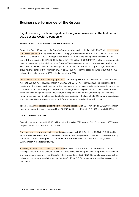# **Business performance of the Group**

# **Slight revenue growth and significant margin improvement in the first half of 2020 despite Covid-19 pandemic**

# **REVENUE AND TOTAL OPERATING PERFORMANCE**

Despite the Covid-19 pandemic, the Scout24 Group was able to close the first half of 2020 with revenue from continuing operations up slightly by 1.0%. Accordingly, group revenue rose from EUR 171.3 million in H1 2019 to EUR 173.0 million in H1 2020. This figure includes EUR 0.2 million in revenue generated by Scout24 AG, primarily from licensing (H1 2019: EUR 0.1 million). EUR 172.8 million (H1 2019: EUR 171.2 million) is attributable to revenue generated by the subsidiary ImmoScout24. The two weakest months in terms of sales, April and May, which were marked by Covid-19 and the implementation of the ImmoScout24 support programme, caused group revenue to fall by EUR 3.1 million or 3.5% to EUR 83.9 million in the second quarter (Q2 2019: EUR 86.9 million), after having grown by 5.6% in the first quarter of 2020.

Own work capitalised from continuing operations increased by 83.6% in the first half of 2020 from EUR 5.9 million to EUR 10.8 million (EUR 5.4 million in Q1 2020 and EUR 5.4 million in Q2 2020). This rise relates to the greater use of software developers and higher personnel expenses associated with the execution of a larger number of projects, which support the platform's future growth. Examples include product developments aimed at accelerating home seller acquisition, improving consumer journeys, integrating CRM solutions, renewing premium memberships and data technology projects. In the first half of 2020, own work capitalised amounted to 6.3% of revenue compared with 3.4% in the same period of the previous year.

Together with other operating income from continuing operations of EUR 1.7 million (H1 2019: EUR 1.6 million), total operating performance increased from EUR 178.8 million in H1 2019 to EUR 185.5 million in H1 2020.

### **DEVELOPMENT OF COSTS**

Operating expenses totalled EUR 89.1 million in the first half of 2020, which is EUR 16.1 million or 15.3% below the previous year's level of EUR 105.2 million.

Personnel expenses from continuing operations decreased by EUR 13.3 million or 23.8% to EUR 42.6 million (H1 2019: EUR 55.9 million). This is chiefly due to lower share-based payments contained in the non-operating effects. While the related expenses amounted to EUR 17.8 million in the first half of 2019, they came to EUR 4.5 million in the first half of 2020.

Marketing expenses from continuing operations decreased by 10.8%, from EUR 14.9 million to EUR 13.3 million (H1 2020: 7.7% of revenue, H1 2019: 8.7%). While online marketing, including the product Realtor Lead Engine, were conscious investment targets in the first quarter of 2020 (Q1 2020 marketing expenses: EUR 8.3 million), marketing expenses in the second quarter (Q2 2020: EUR 5.0 million) were scaled back on account of Covid-19.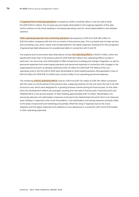IT expenses from continuing operations increased by 33.9% to EUR 8.6 million in the first half of 2020 (H1 2019: EUR 6.4 million). The increase was principally attributable to the ongoing migration of the data centre solutions to the cloud, leading to increasing operating costs for cloud-based platform and software solutions.

Other operating expenses from continuing operations decreased by 12.0% from EUR 28.0 million to EUR 24.6 million compared with the first six months of the previous year. This is primarily due to lower service and consulting costs, which clearly overcompensated for the higher expenses resulting from the recognition of general bad debt allowances for possible bad debts in connection with Covid-19.

The expense and income items described above include non-operating effects of EUR 9.1 million, which are significantly lower than in the previous year (H1 2019: EUR 28.3 million). Non-operating effects include, in particular, non-recurring costs attributable to M&A transactions including post-merger integration, as well as personnel expenses from share-based payments and personnel expenses in connection with changes in the organisational structure. As already mentioned, EUR 4.5 million (H1 2019: EUR 17.8 million) of the nonoperating costs in the first half of 2020 were attributable to share-based payments. Reorganisation costs of EUR 3.6 million (H1 2019: EUR 2.5 million) also consist chiefly of non-operating personnel expenses.

The remaining ordinary operating effects rose by 4.0% from EUR 75.4 million to EUR 78.4 million compared with the same six-month period of the previous year, outpacing revenue. On the one hand, this has to do with structural costs, which were designed for a growing business volume during the financial year. On the other hand, the development reflects dis-synergies resulting from the sale of AutoScout24, FinanceScout24 and FINANZCHECK in the second quarter of 2020 totalling approximately EUR 1.5 million. Nevertheless, the previously planned cost optimisation measures continued to be implemented and short-term cost measures were initiated in response to the Covid-19 pandemic. Cost optimisation and saving measures primarily relate to the areas of personnel and marketing and partially offset the rising IT expenses due to the cloud migration and the higher expenses from additions to loss allowances in connection with Covid-19 (included in other operating expenses).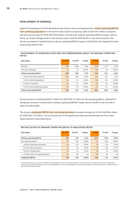# **DEVELOPMENT OF EARNINGS**

Against the background of the aforementioned revenue and cost developments, ordinary operating EBITDA from continuing operations for the full first half of 2020 increased by 3.6% to EUR 105.4 million compared with the previous year (H1 2019: EUR 101.8 million). The half-year ordinary operating EBITDA margin came to 61.0%, up 1.6 percentage points on the previous year's level (H1 2019: 59.4%). In the second quarter, the Group succeeded in maintaining the ordinary operating EBITDA margin at the 60.0% mark despite the lower revenue (Q2 2019: 61.7%).

# **DEVELOPMENT OF OPERATING COSTS AND THE CORRESPONDING IMPACT ON ORDINARY OPERATING EBITDA**

| (EUR million)                     | Q2 2020 | Q2 2019 | Change   | H1 2020 | H1 2019 | Change   |
|-----------------------------------|---------|---------|----------|---------|---------|----------|
| Revenue                           | 83.9    | 86.9    | $-3.5%$  | 173.0   | 171.3   | $+1.0%$  |
| Own work capitalised              | 5.4     | 2.9     | +87.7%   | 10.8    | 5.9     | +83.6%   |
| Ordinary operating effects        | $-39.0$ | $-36.2$ | $+7.7%$  | $-78.4$ | $-75.4$ | $+4.0%$  |
| of which personnel expenses       | $-18.4$ | $-18.3$ | $+0.2%$  | $-35.7$ | $-37.2$ | $-4.1%$  |
| of which marketing expenses       | $-5.0$  | $-6.7$  | $-25.6%$ | $-13.3$ | $-14.8$ | $-10.3%$ |
| of which IT expenses              | $-4.4$  | $-3.2$  | +35.9%   | $-8.3$  | $-6.2$  | +33.9%   |
| of which other operating expenses | $-11.2$ | $-7.9$  | $+42.0%$ | $-21.1$ | $-17.2$ | $+229%$  |
| Ordinary operating EBITDA         | 50.3    | 53.7    | $-6.2%$  | 105.4   | 101.8   | $+3.6%$  |

Group functions contributed EUR 5.1 million (H1 2019: EUR 3.7 million) to the operating effects. Adjusted for the group functions, ImmoScout24's ordinary operating EBITDA margin stood at 63.9% in the first half of 2020 (H1 2019: 61.6%).

The Group's unadjusted EBITDA from continuing operations increased strongly by 31.1% to EUR 96.4 million (H1 2019: EUR 73.5 million). This is primarily due to the significantly lower personnel expenses from sharebased payments described above.

| (EUR million)                        | Q2 2020 | Q2 2019 | Change   | H <sub>1</sub> 2020 | H <sub>1</sub> 2019 | Change   |
|--------------------------------------|---------|---------|----------|---------------------|---------------------|----------|
| <b>Ordinary operating EBITDA</b>     | 50.3    | 53.7    | $-6.2%$  | 105.4               | 101.8               | $+3.6%$  |
| Non-operating effects <sup>1</sup>   | $-6.5$  | $-18.1$ | $-63.9%$ | $-9.1$              | $-28.3$             | $-68.0%$ |
| of which share-based payments        | $-4.8$  | $-10.1$ | $-52.5%$ | $-4.5$              | $-17.8$             | $-74.6%$ |
| of which M&A transactions            | $-0.1$  | $-5.9$  | $-97.8%$ | $-0.7$              | $-8.0$              | $-91.7%$ |
| of which reorganisation              | $-1.6$  | $-2.1$  | $-25.1%$ | $-3.6$              | $-2.5$              | $+43.5%$ |
| of which other non-operating effects | 0.0     | 0.0     | n/a      | $-0.3$              | 0.0                 | n/a      |
| <b>Unadjusted EBITDA</b>             | 43.8    | 35.5    | $+23.3%$ | 96.4                | 73.5                | $+31.1%$ |

### **RECONCILIATION OF ORDINARY OPERATING EBITDA TO UNADJUSTED EBITDA**

<sup>1</sup> In the 2019 financial year, Scout24 reclassified the categories within the non-operating effects in order to increase transparency, but without changing the allocation of income and expenses to the non-operating effects. To ensure comparability, the corresponding figures for the second quarter of 2019 and the first half of 2019 have been restated.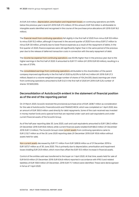At EUR 24.9 million, depreciation, amortisation and impairment losses on continuing operations are 9.6% below the previous year's level (H1 2019: EUR 27.5 million). Of this amount, EUR 15.6 million is attributable to intangible assets identified and recognised in the course of the purchase price allocations (H1 2019: EUR 16.2 million).

The **financial result from continuing operations** fell slightly in the first half of 2020 from minus EUR 9.9 million to minus EUR 10.2 million, although it improved in the second quarter of 2020 from minus EUR 5.7 million to minus EUR 3.8 million, primarily due to lower finance expenses as a result of the repayment of debts. In the first quarter of 2020, finance expenses were still significantly higher than in the same period of the previous year due to the release of deferred transaction costs in connection with the early repayment of debt.

The income tax expense from continuing operations was 93.5% higher than in the previous year due to the higher earnings in the first half of 2020. It amounted to EUR 17.1 million (H1 2019: EUR 8.9 million), resulting in a tax rate of 27.9%.

The consolidated earnings from continuing operations attributable to the shareholders of the parent company improved significantly in the first half of 2020 by 62.0% to EUR 44.2 million (H1 2019: EUR 27.3 million). Based on a volume-weighted average number of shares of 104,244,555, (basic) earnings per share from continuing operations amounted to EUR 0.42 in the first half of 2020 (H1 2019: EUR 0.25; number of shares: 107,600,000).

# **Deconsolidation of AutoScout24 evident in the statement of financial position as of the end of the reporting period**

On 31 March 2020, Scout24 received the provisional purchase price of EUR 2,838.7 million as consideration for the sale of AutoScout24, FinanceScout24 and FINANZCHECK, which was completed on 1 April 2020, less an amount of EUR 350.0 million used directly for debt repayments. Some of the cash received was invested in money market funds and a special fund that are reported under cash and cash equivalents and under current financial assets of the Scout24 Group.

As of the half-year reporting date 30 June 2020, cash and cash equivalents amounted to EUR 1,384.3 million (31 December 2019: EUR 65.6 million), while current financial assets totalled EUR 684.0 million (31 December 2019: EUR 1.3 million). The Scout24 Group's total current assets from continuing operations came to EUR 2,132.7 million as of the 30 June 2020 reporting date (31 December 2019: EUR 105.6 million without assets held for sale).

Non-current assets decreased by EUR 17.1 million from EUR 1,690.8 million as of 31 December 2019 to EUR 1,673.7 million as of 30 June 2020. This is primarily due to depreciation, amortisation and impairment losses totalling EUR 24.9 million, which more than offset the EUR 10.5 million increase in financial assets.

Control of the entities sold was transferred to the buyer on 1 April 2020. At that time, assets held for sale of EUR 641.8 million (31 December 2019: EUR 634.8 million) reported in accordance with IFRS 5 and related liabilities of EUR 106.9 million (31 December, 2019: EUR 71.7 million) were identified. These were derecognised in full as of 1 April 2020.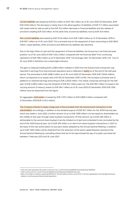Current liabilities decreased by EUR 92.4 million to EUR 118.4 million as of 30 June 2020 (31 December 2019: EUR 210.8 million). The decrease is mainly due to the derecognition of liabilities of EUR 71.7 million associated with assets held for sale as well as the EUR 15.2 million decrease in financial liabilities and the release of provisions totalling EUR 33.6 million. At the same time, income tax liabilities rose by EUR 31.6 million.

Non-current liabilities decreased by EUR 574.8 million from EUR 1,166.5 million as of 31 December 2019 to EUR 591.7 million as of 30 June 2020. This is primarily due to the repayment of loans amounting to EUR 560.0 million. Lease liabilities, other provisions and deferred tax liabilities also declined.

Due to the high inflow of cash and the repayment of financial liabilities, the Group has a net financial asset position<sup>5</sup> as of 30 June 2020 of EUR 1,102.2 million compared with net financial debt<sup>6</sup> from continuing operations of EUR 789.2 million as of 31 December 2019. The leverage ratio<sup>7</sup> (31 December 2019: 2.45 : 1) as of 30 June 2020 is therefore not a meaningful indicator.

The gain on disposal totalling EUR 2,258.8 million realised in 2020 from the AutoScout24 transaction was reported in earnings from discontinued operations and is reflected in equity as of the end of the half-year period. This amounted to EUR 3,096.3 million as of 30 June 2020 (31 December 2019: EUR 1,053.9 million), which corresponds to an equity ratio of 81.3% (31 December 2019: 43.3%). The increase is primarily due to additions to retained earnings amounting to EUR 2,205.6 million. This mainly comprises earnings for the halfyear of EUR 2,299.5 million, less the dividend of EUR 93.7 million paid out. The EUR 165.1 million increase in the carrying amount of treasury shares to EUR 294.7 million as of 30 June 2020 (31 December 2019: EUR 129.6 million) must be deducted from this figure.

On aggregate, total assets increased by EUR 1,375.1 million to EUR 3,806.3 million compared with 31 December 2019 (EUR 2,431.2 million).

The Company intends to repay a large part of the proceeds from the AutoScout24 transaction to the shareholders. Accordingly, in addition to the dividend payout of EUR 93.7 million for the 2019 financial year, which was made in June 2020, a further amount of up to EUR 1,690 million is to be repaid to shareholders by the middle of next year through share buyback transactions. Of that amount, up to EUR 490 million is attributable to the second share buyback tranche initiated on 6 April and scheduled to be concluded by the end of the 2020 financial year. Up to EUR 200 million is to stem from share buyback transactions in 2021 on the basis of the new authorisation to buy back shares adopted by the Annual General Meeting. In addition, up to EUR 1,000 million will be obtained from the reduction of the share capital likewise resolved at the Annual General Meeting by cancelling shares that are to be repurchased by way of a public purchase bid between 1 February 2021 and 30 June 2021.

<sup>5</sup> Cash and cash equivalents less total current and non-current financial liabilities (including lease liabilities)

<sup>6</sup> Total current and non-current financial liabilities (including lease liabilities) less cash.

<sup>&</sup>lt;sup>7</sup> Ratio of net debt to ordinary operating EBITDA for the last twelve months; as set forth in the loan agreements, the leverage disclosure relates to continuing and discontinued operations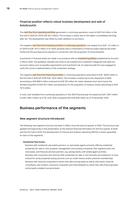# **Financial position reflects robust business development and sale of AutoScout24**

The cash flow from operating activities generated in continuing operations came to EUR 53.0 million in the first half of 2020 (H1 2019: EUR 48.2 million). The increase is mainly due to the higher consolidated earnings after tax. This development was offset by lower additions to provisions.

The negative cash flow from investing activities in continuing operations rose steeply from EUR –2.3 million in H1 2019 to EUR –677.4 million in H1 2020, primarily due to investments in financial assets (special securities funds) and the purchase price payment in connection with the acquisition of immoverkauf24.

Investments in financial assets are made in accordance with an investment guideline established by Scout24 in March 2020. The guideline classifies the funds to be invested into investment categories that take into account criteria such as liquidity requirements and investment risk. An external audit firm was engaged to verify the correct implementation of the investment strategy.

The negative cash flow from financing activities in continuing operations amounted to EUR –840.6 million in the first half of 2020 (H1 2019: EUR –62.6 million). The increase is mainly due to the repayment of debt amounting to EUR 680.0 million (reduced by EUR 100 million for newly obtained short-term loans), the dividend payment of EUR 93.7 million and payments for the acquisition of treasury shares amounting to EUR 157.5 million.

In total, cash available from continuing operations in the 2020 financial year increased by EUR 1,318.7 million to EUR 1,384.3 million as of 30 June 2020 compared with EUR 65.6 million as of 31 December 2019.

# **Business performance of the segments**

# **New segment structure introduced**

The following new segment structure has been in effect since the second quarter of 2020. The structure was applied retrospectively to the presentation of the relevant financial information for the first quarter of 2020 and the first half of 2019. The development of revenue and ordinary operating EBITDA is shown separately for each of the segments.

### • **Residential Real Estate**

- Business with residential real estate partners, i.e. real estate agents primarily offering residential properties for sale or rent, property management and housing companies that regularly enter into new leases, and financial services partners, e.g. savings banks, with estate agent activities
- Business with consumers who directly offer properties for sale or rent and who are looking for or have looked for rental properties (using services such as credit checks and/or premium membership)
- Business with removal companies to whom IS24 sells moving leads as well as with banks, financial consultants, loan brokers, insurance companies and intermediaries to whom IS24 sells financing leads and property-related insurance leads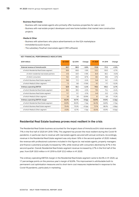# • **Business Real Estate**

- Business with real estate agents who primarily offer business properties for sale or rent
- Business with real estate project developers and new home builders that market new construction projects

### • **Media & Other**

- Business with advertisers who place advertisements on the IS24 marketplace
- ImmobilienScout24 Austria
- The subsidiary FlowFact (real estate agent CRM software)

| (EUR million)                             | Q2 2020 | Q2 2019 | Change    | H <sub>1</sub> 2020 | H1 2019 | Change    |
|-------------------------------------------|---------|---------|-----------|---------------------|---------|-----------|
|                                           |         |         |           |                     |         |           |
| External revenue of ImmoScout24           | 83.7    | 86.9    | $-3.6%$   | 172.8               | 171.2   | $+1.0%$   |
| of which Residential Real Estate segment  | 59.9    | 60.8    | $-1.6%$   | 123.2               | 120.0   | $+2.7%$   |
| of which residential real estate partners | 41.6    | 40.9    | $+1.9%$   | 84.9                | 80.4    | $+5.5%$   |
| of which consumers                        | 18.2    | 20.0    | $-8.7%$   | 38.3                | 39.6    | $-3.1%$   |
| of which Business Real Estate segment     | 16.6    | 17.2    | $-3.4%$   | 34.6                | 34.1    | $+1.4%$   |
| of which Media & Other segment            | 7.3     | 8.8     | $-17.6%$  | 15.1                | 17.1    | $-12.2%$  |
| <b>Ordinary operating EBITDA</b>          | 52.9    | 55.4    | $-4.4%$   | 110.4               | 105.4   | $+4.7%$   |
| of which Residential Real Estate segment  | 38.2    | 39.5    | $-3.2%$   | 79.5                | 75.4    | $+5.4%$   |
| of which Business Real Estate segment     | 11.7    | 12.1    | $-3.1%$   | 24.9                | 23.2    | $+7.2%$   |
| of which Media & Other segment            | 3.0     | 3.8     | $-20.9%$  | 6.1                 | 6.9     | $-11.2%$  |
| Ordinary operating EBITDA margin          | 63.2%   | 63.7%   | $-0.5$ pp | 63.9%               | 61.6%   | $+2.3$ pp |
| of which Residential Real Estate segment  | 63.9%   | 65.0%   | $-1.1$ pp | 64.5%               | 62.8%   | $+1.7$ pp |
| of which Business Real Estate segment     | 70.4%   | 70.2%   | $+0.2$ pp | 72.1%               | 68.2%   | $+3.9$ pp |
| of which Media & Other segment            | 41.0%   | 42.7%   | $-1.7$ pp | 40.4%               | 40.0%   | $+0.4$ pp |

### **KEY FINANCIAL PERFORMANCE INDICATORS**

# **Residential Real Estate business proves most resilient in the crisis**

The Residential Real Estate business accounted for the largest share of ImmoScout24's total revenue with 71% in the first half of 2020 (H1 2019: 70%). This segment has proven the most resilient during the Covid-19 pandemic, in particular due to revenue with real estate agents secured with annual contracts. Accordingly, revenue in the Residential Real Estate segment was only down 1.6% in the second quarter of 2020. Indeed, the revenue with professional customers included in this figure (i.e. real estate agents, property managers and finance customers) actually increased by 1.9%, while revenue with consumers declined by 8.7% in the second quarter. Overall, Residential Real Estate segment revenue increased by 2.7% in the first half of the year, from EUR 120.0 million in H1 2019 to EUR 123.2 million in H1 2020.

The ordinary operating EBITDA margin in the Residential Real Estate segment came to 64.5% in H1 2020, up 1.7 percentage points on the previous year's margin of 62.8%. This improvement is attributable both to permanent cost optimisation measures and to short-term cost measures implemented in response to the Covid-19 pandemic, particularly in marketing.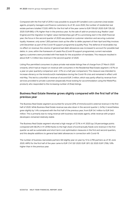Compared with the first half of 2019, it was possible to acquire 811 (smaller) core customers (real estate agents, property managers and finance customers). As of 30 June 2020, the number of residential real estate partners totalled 17,020. ARPU for the first half of the year came to EUR 709 (Q1 2020: EUR 729; Q2 2020: EUR 690), 4.1% higher than in the previous year. As the sale of add-on products (e.g. Realtor Lead Engine) and the migration to higher-value memberships got off to a promising start in the 2020 financial year, the focus in the second quarter of 2020 was placed on customer retention and securing customer loyalty. However, only some 1,300 partners took up the offer to defer payment of their April and May invoices until December as part of the Covid-19 support programme (Liquidity Plus). The deferral of receivables has no effect on revenue; the volume of general bad debt allowances was increased to account for possible bad debts. In June, within the framework of Leads Plus (Covid-19 support programme), current real estate agency customers were provided with free leads for the acquisition of mandates. This measure resulted in about EUR 1-2 million less revenue in the second quarter of 2020.

Listing Plus permitted consumers to place private real estate listings free of charge from 27 March 2020 onwards, which had an impact on revenue with consumers in the Residential Real Estate segment (–8.7% on a year-on-year quarterly comparison and –3.1% on a half year comparison). This measure was intended to increase vibrancy on the ImmoScout24 marketplace during the Covid-19 crisis and remained in effect until mid-May. This led to a shortfall in revenue of around EUR 2 million, which was partly offset by revenue from services provided to private customers (especially those looking for accommodation using the MieterPlus product), who responded to the increasing number of (free) listings.

# **Business Real Estate likewise grows slightly compared with the first half of the previous year**

The Business Real Estate segment accounted for around 20% of ImmoScout24's external revenue in the first half of 2020. While Business Real Estate revenue was also down in the second quarter (-3.4%), it nevertheless grew slightly by 1.4% compared with the first half of the previous year, from EUR 34.1 million to EUR 34.6 million. This is primarily due to rising revenue with business real estate agents, while revenue with project developers remained relatively stable.

The Business Real Estate segment returned a high margin of 72.1% in H1 2020 (up 3.9 percentage points compared with 68.2% in H1 2019) thanks to the high share of (contractually fixed) core revenue in the first quarter as well as sustainable and short-term cost optimisation measures in the first and second quarters, and this despite additions to general bad debt allowances in connection with Covid-19.

The number of business real estate partners fell slightly year on year by 13 to 2,795 partners as of 30 June 2020. ARPU for the first half of the year came to EUR 1,747 (Q1 2020: EUR 1,811; Q2 2020: EUR 1,706), 1.8% higher than in the previous year.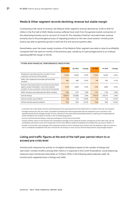# **Media & Other segment records declining revenue but stable margin**

Contributing a 9% share of revenue, the Media & Other segment revenue declined by 12.2% to EUR 15.1 million in the first half of 2020. Media revenue suffered most, both from the general market contraction of the advertising business and on account of Covid-19. The subsidiary FlowFact recorded lower revenue primarily due to the prolonged process of migrating products to the new cloud solution. ImmoScout24 Austria was able to generate growth in both the first and second quarters alike.

Nevertheless, even the lower-margin business of the Media & Other segment was able to raise its profitability compared with the same six months of the previous year, namely by 0.4 percentage points to an ordinary operating EBITDA margin of 40.4%.

|                                                                                                                                                                             | Q2 2020 | Q2 2019 | Change   | H <sub>1</sub> 2020 | H1 2019 | Change   |
|-----------------------------------------------------------------------------------------------------------------------------------------------------------------------------|---------|---------|----------|---------------------|---------|----------|
| Residential real estate partners (number of core<br>customers <sup>1</sup> at the end of the period)                                                                        | 17,020  | 16.209  | $+5.0%$  | 17,020              | 16.209  | $+5.0%$  |
| ARPU <sup>2</sup> with residential real estate partners (EUR,<br>monthly)                                                                                                   | 690     | 688     | $+0.3%$  | 709                 | 681     | $+4.1%$  |
| Business real estate partners (commercial real estate<br>agents, project developers, new home builders)<br>(number of core customers <sup>1</sup> at the end of the period) | 2.795   | 2.808   | $-0.5%$  | 2.795               | 2.808   | $-0.5%$  |
| ARPU <sup>2</sup> business real estate partners (EUR, monthly)                                                                                                              | 1.706   | 1.737   | $-1.8%$  | 1.747               | 1.716   | $+1.8%$  |
| $IS24$ .de listings <sup>3</sup>                                                                                                                                            | 430,677 | 443.566 | $-2.9%$  | 419.415             | 440.751 | $-4.8%$  |
| IS24.de monthly users (million) <sup>4</sup>                                                                                                                                | 14.9    | 13.2    | $+12.9%$ | 14.8                | 13.2    | $+12.1%$ |
| IS24.de monthly sessions (million) <sup>5</sup>                                                                                                                             | 115.5   | 92.9    | $+24.2%$ | 110.6               | 95.8    | $+15.4%$ |

### **OTHER NON-FINANCIAL PERFORMANCE INDICATORS**

<sup>1</sup> Customers with a fee-based contract extending beyond the reporting period that entitles them to market more than one property <sup>2</sup> Average revenue per user per month, calculated by dividing the revenue generated with the respective core customers in the

reported period by the average number of core customers in the same period (calculated based on opening and closing balance) further divided by the number of months in the corresponding period

<sup>3</sup> Source: ImmoScout24.de; listings in Germany (average as of the end of the month)

<sup>4</sup> Unique monthly visitors to the German IS24 marketplace (average of the individual months), irrespective of how often they visit the marketplace during the month and irrespective of how many different platforms (desktop and mobile) they use; Source: AGOF e. V. <sup>5</sup> Number of all monthly visits (average of the individual months) in which individual users interact with the website or app via a device; a visit is considered completed if the user is inactive for 30 minutes or more; source: internal measurement using Google Analytics

# **Listing and traffic figures at the end of the half-year period return to or exceed pre-crisis level**

ImmoScout24 measures the activity on its digital marketplace based on the number of listings and user/visitor numbers (traffic), among other metrics. In response to the Covid-19 pandemic, social distancing measures were introduced nationwide on 12 March 2020. In the following week (calendar week 12), ImmoScout24 registered lows in listings and traffic.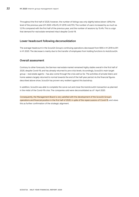Throughout the first half of 2020, however, the number of listings was only slightly below (down 4.8%) the level of the previous year (H1 2020: 419,415; H1 2019: 440,751). The number of users increased by as much as 12.1% compared with the first half of the previous year, and the number of sessions by 15.4%. This is a sign that demand for real estate remained intact despite Covid-19.

# **Lower headcount following deconsolidation**

The average headcount in the Scout24 Group's continuing operations decreased from 909 in H1 2019 to 811 in H1 2020. The decrease is mainly due to the transfer of employees from holding functions to AutoScout24.

# **Overall assessment**

Contrary to other forecasts, the German real estate market remained highly stable overall in the first half of 2020, despite Covid-19, and has already returned to pre-crisis levels. Accordingly, Scout24's main target group – real estate agents – has also come through the crisis well so far. The activities of private listers and home seekers largely returned to normal towards the end of the half-year period. As the financial figures described above show, Scout24 has proven very resilient against this backdrop.

In addition, Scout24 was able to complete the carve-out and close the AutoScout24 transaction as planned in the midst of the Covid-19 crisis. The companies sold were deconsolidated as of 1 April 2020.

Consequently, the Management Board is very satisfied with the development of the Scout24 Group's operations and financial position in the first half of 2020, in spite of the repercussions of Covid-19, and views this as further confirmation of the strategic alignment.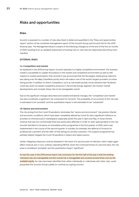# **Risks and opportunities**

# **Risks**

Scout24 is exposed to a number of risks described in detail and quantified in the "Risks and opportunities report" section of the combined management report of the Scout24 Group and Scout24 AG for the 2019 financial year. The Management Board is aware of the following changes as of the end of the first six months of 2020 resulting from an updated assessment of existing risks or risks that are objectively becoming more manifest:

### **EXTERNAL RISKS**

### **1.4. Competition and market**

As explained in the 2019 annual report, Scout24 operates in a highly competitive environment. The business model is susceptible to sudden fluctuations in the market and competitive environment as well as with respect to market participants. Only recently it was announced that the Norwegian media group Adevinta was taking over the eBay Classifieds portal, which will make it one of the world's largest providers of online listing portals. In addition to direct competitors, such as real estate portals, social networks like Facebook could also exert increased competitive pressure in the private listings segment. We monitor market developments and consider these risks to be manageable overall.

Due to the significant changes described and isolated immaterial changes, the "competition and market" risk area constitutes a significant risk component for Scout24. The probability of occurrence of this risk area is estimated to be "possible" and the quantitative impact is still estimated to be "substantial".

### **1.8. Nature and environment**

The risk arising from the Covid-19 pandemic dominates the "nature and environment" risk position. Market and economic conditions, which have been completely altered by Covid-19, had a significant influence on activities on ImmoScout24's marketplace, especially earlier this year in April and May. In those months revenue that was not contractually fixed was particularly affected. In order to react appropriately to this risk, Scout24 decided to introduce an immediate-action programme in the first quarter of 2020, which was implemented in the course of the second quarter. It includes, for example, the deferral of invoices for professional customers and the offer of free listings for private customers. This support programme has partially helped mitigate the Covid-19 pandemic's impact and repercussions.

Similar mitigating measures could be adopted in the event of a second wave of infection, which might again affect revenue and, in turn, ordinary operating EBITDA. Given the continued threat of a second wave, this risk area is considered "probable" and the quantitative impact "significant".

As was the case in the 2019 annual report, the conclusion for the first half of the year is that the existing individual risks are manageable and the overall risk is manageable and covered several times over by the available equity. No risks have been identified that, either individually or collectively with other risks, could jeopardise the Scout24 Group's ability to continue as a going concern.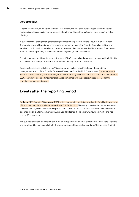# **Opportunities**

E-commerce continues on a growth track – in Germany, the rest of Europe and globally. In the listings business in particular, business models are shifting from offline offerings (such as print media) to online offerings.

It is precisely this change that generates significant growth potential for the Scout24 business models. Through its powerful brand awareness and large number of users, the Scout24 Group has achieved an excellent positioning in all significant operating segments. For this reason, the Management Board sees all Scout24 entities operating in the market continuing on a growth track overall.

From the Management Board's perspective, Scout24 AG is overall well positioned to systematically identify and benefit from the opportunities that arise from the major trends in its markets.

Opportunities are also detailed in the "Risks and opportunities report" section of the combined management report of the Scout24 Group and Scout24 AG for the 2019 financial year. The Management Board is not aware of any material changes in the opportunity cluster as of the end of the first six months of 2020. There have been no fundamental changes compared with the opportunities presented in the combined management report.

# **Events after the reporting period**

On 1 July 2020, Scout24 AG acquired 100% of the shares in the entity immoverkauf24 GmbH with registered office in Hamburg for a total purchase price of EUR 26.8 million. The entity operates the real estate portal "immoverkauf24", which advises and supports home sellers in the sale of their properties. immoverkauf24 operates digital platforms in Germany, Austria and Switzerland. The entity was founded in 2011 and has around 70 employees.

The business activities of immoverkauf24 will be integrated into Scout24's Residential Real Estate segment and developed further in parallel with the intermediation of home seller mandates (Realtor Lead Engine).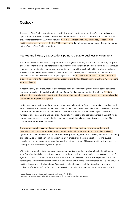# **Outlook**

As a result of the Covid-19 pandemic and the high level of uncertainty about the effects on the business operations of the Scout24 Group, the Management Board felt compelled on 25 March 2020 to cancel its previous forecast for the 2020 financial year. Now that the first half of 2020 has ended, it sees itself in a position to issue a new forecast for the 2020 financial year that takes into account current expectations as to the effects of the Covid-19 pandemic.

# **Market and industry expectations point to a stable business environment**

The repercussions of the coronavirus pandemic for the global economy and, in turn, for Germany's exportoriented economy have since materialised. However, the intensity and duration of the outbreak in individual countries and the risk of a second wave of infection only permit forecasts with a high level of uncertainty. Accordingly, estimates of Germany's GDP are subject to a high degree of uncertainty and vary widely between -4.2% and -9.4%<sup>8</sup> as of the beginning of July 2020. However, economic researchers and experts expect the economy to recover significantly already in the third and fourth quarters as Covid-19 restrictions increasingly ease.

In recent weeks, various assumptions and forecasts have been circulating in the market speculating that prices on the real estate market would fall. ImmoScout24's data cannot confirm these fears. The data indicates that the real estate market is stable and remains dynamic. However, it remains to be seen how the market will develop in the long term.

Having said that, even if property prices and rents were to fall and the German residential property market were to reverse from a seller's market to a buyer's market, ImmoScout24 would probably only be moderately affected. Far more important for ImmoScout24's business model than the real estate price level is the number of sales transactions and new property rentals. Irrespective of price trends, more than eight million people move house every year in the German market, which has a large share of property rentals. That number is not expected to decrease. <sup>9</sup>

The law governing the sharing of agent commission in the sale of residential properties (key word "Bestellerprinzip") is not expected to affect ImmoScout24 before the end of the current financial year. Agents in the five federal states of Berlin, Brandenburg, Hamburg, Bremen and Hesse, where the new sharing principle has so far not been common practice, must prepare for the prospect of sellers and buyers negotiating commission amounts more intensively with them in future. This could lead to lost revenue, and possibly lower marketing budgets for agents.

With various product initiatives such as the agent comparison and the underlying Realtor Lead Engine, ImmoScout24 already began last year to provide the best possible support to its core customer group of agents in order to compensate for a possible decline in commission income. For example, ImmoScout24 helps agents increase their presence in order to continue to win home seller mandates. To this end, they can position themselves in the ImmoScout24.de business directory as part of their branding and image cultivation efforts. ImmoScout24 is also continuing to gradually introduce the interactive agent profile. In

<sup>8</sup> tagesschau.de, overview of economic forecasts for Germany, 7 July 2020

<sup>9</sup> Deutsche Post Adress GmbH & Co. KG, "Umzugsstudie 2018 – So zieht Deutschland um", page 3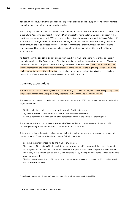addition, ImmoScout24 is working on products to provide the best possible support for its core customers during the transition to the new commission model.

The new legal regulation could also lead to sellers tending to market their properties themselves more often in the future. According to a recent survey,<sup>10</sup> 42% of prospective home sellers want to use an agent in the next three years, compared with 58% who would rather not go through an agent. With its "Home Seller Hub", ImmoScout24 is also geared to home sellers marketing real estate directly. These platforms guide home sellers through the sales process, whether they wish to market their property through an agent (agent comparison and lead engine) or choose to take the route of direct marketing with a private listing on ImmoScout24.

As described in the **ECONOMIC CONDITIONS** section, the shift in marketing spend from offline to online in particular continues. The faster growth of the digital market underlines the positive prospects of Scout24's business model, which is geared towards the digitalisation of the value chain. The Covid-19 pandemic has further underscored the importance of digitalisation, including virtual visits, digital application folders and digital interaction with public authorities. In particular, the further consistent digitalisation of real estate transactions offers substantial long-term growth potential for Scout24.

# **Company expectations**

For the Scout24 Group, the Management Board expects group revenue this year to be roughly on a par with the previous year and the Group's ordinary operating EBITDA margin to reach around 60%.

The assumption concerning the largely constant group revenue for 2020 translates as follows at the level of segment revenue:

- Stable to slightly growing revenue in the Residential Real Estate segment
- Slightly declining to stable revenue in the Business Real Estate segment
- Revenue declining in the low double-digit percentage range in the Media & Other segment

The Management Board expects an aggregate EBITDA margin for all three segments (ImmoScout24; excluding central group functions/consolidation/other) of around 62%.

This forecast reflects the business development in the first half of the year and the current business and market dynamics. The forecast underscores the following aspects:

- Scout24's resilient business model and market environment
- The success of the Listings Plus immediate-action programme, which has greatly increased the number of listings by private customers, further increasing the appeal of ImmoScout24's platform. The revenue lost initially in this context can be partially compensated for by the migration of home seekers to the paid premium segment
- The low dependence of Scout24's revenue and earnings development on the advertising market, which has shrunk substantially

<sup>10</sup> ImmoScout24/Innofact AG, online survey "Property owners willing to sell", survey period 02–12 July 2020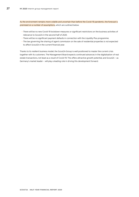As the environment remains more volatile and uncertain than before the Covid-19 pandemic, the forecast is premised on a number of assumptions, which are outlined below:

- There will be no new Covid-19 lockdown measures or significant restrictions on the business activities of relevance to Scout24 in the second half of 2020.
- There will be no significant payment defaults in connection with the Liquidity Plus programme.
- The law governing the sharing of agent commission on the sale of residential properties is not expected to affect Scout24 in the current financial year.

Thanks to its resilient business model, the Scout24 Group is well positioned to master the current crisis together with its customers. The Management Board expects continued advances in the digitalisation of real estate transactions, not least as a result of Covid-19. This offers attractive growth potential, and Scout24 – as Germany's market leader – will play a leading role in driving this development forward.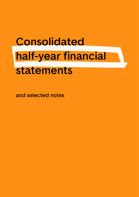# **Consolidated half-year financial statements**

**and selected notes**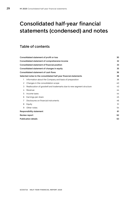# <span id="page-28-0"></span>**Consolidated half-year financial statements (condensed) and notes**

# **Table of contents**

|   | Consolidated statement of profit or loss                             | 30 |
|---|----------------------------------------------------------------------|----|
|   | Consolidated statement of comprehensive income                       | 32 |
|   | Consolidated statement of financial position                         | 33 |
|   | Consolidated statement of changes in equity                          | 35 |
|   | Consolidated statement of cash flows                                 | 36 |
|   | Selected notes to the consolidated half-year financial statements    | 38 |
| 1 | Information about the Company and basis of preparation               | 38 |
| 2 | Changes in the consolidation scope                                   | 40 |
| 3 | Reallocation of goodwill and trademarks due to new segment structure | 43 |
| 4 | Revenue                                                              | 44 |
| 5 | Income taxes                                                         | 44 |
| 6 | Earnings per share                                                   | 45 |
| 7 | Disclosures on financial instruments                                 | 46 |
| 8 | Equity                                                               | 51 |
| 9 | Other notes                                                          | 54 |
|   | <b>Responsibility statement</b>                                      | 61 |
|   | Review report                                                        | 62 |
|   | <b>Publication details</b>                                           | 63 |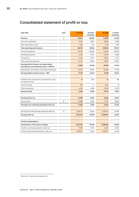# <span id="page-29-0"></span>**Consolidated statement of profit or loss**

| (EUR '000)                                                                                  | Note | Q2 2020   | Q2 2019 <sup>11</sup><br>(restated) | H1 2020   | H1 2019 <sup>11</sup><br>(restated) |
|---------------------------------------------------------------------------------------------|------|-----------|-------------------------------------|-----------|-------------------------------------|
| Revenue                                                                                     | 4    | 83,874    | 86,939                              | 172,985   | 171,299                             |
| Own work capitalised                                                                        |      | 5,443     | 2,900                               | 10,826    | 5,895                               |
| Other operating income                                                                      |      | 1,429     | 842                                 | 1,725     | 1,567                               |
| Total operating performance                                                                 |      | 90,746    | 90,681                              | 185,536   | 178,761                             |
| Personnel expenses                                                                          |      | $-24,730$ | $-29,460$                           | $-42,620$ | $-55,929$                           |
| Marketing expenses                                                                          |      | $-5,015$  | $-6,751$                            | $-13,279$ | $-14,881$                           |
| IT expenses                                                                                 |      | $-4,449$  | $-3,401$                            | $-8,622$  | $-6,441$                            |
| Other operating expenses                                                                    |      | $-12,743$ | $-15,540$                           | $-24,620$ | $-27,990$                           |
| Earnings before interest, tax, depreciation,<br>amortisation and impairment losses - EBITDA |      | 43,809    | 35,528                              | 96,395    | 73,520                              |
| Depreciation, amortisation and impairment losses                                            |      | $-12,073$ | $-13,901$                           | $-24,859$ | $-27,489$                           |
| Earnings before interest and tax - EBIT                                                     |      | 31,737    | 21,627                              | 71,536    | 46,031                              |
|                                                                                             |      |           |                                     |           |                                     |
| Profit/loss from investments accounted for using<br>the equity method                       |      | 48        | $-840$                              | 82        | $-786$                              |
| Finance income                                                                              |      | 529       | 17                                  | 2.150     | 18                                  |
| Finance expenses                                                                            |      | $-4,334$  | $-4,884$                            | $-12,406$ | $-9,103$                            |
| <b>Financial result</b>                                                                     |      | $-3,758$  | $-5,706$                            | $-10,173$ | $-9,871$                            |
|                                                                                             |      |           |                                     |           |                                     |
| Earnings before tax                                                                         |      | 27,978    | 15,921                              | 61,362    | 36,161                              |
| Income taxes                                                                                | 5    | $-10,386$ | $-6,164$                            | $-17,141$ | $-8,860$                            |
| Earnings from continuing operations after tax                                               |      | 17,592    | 9,756                               | 44,221    | 27,301                              |
|                                                                                             |      |           |                                     |           |                                     |
| Earnings from discontinued operations after tax                                             | 2.1  | 2,255,147 | 17,003                              | 2,255,273 | 24,780                              |
| Earnings after tax                                                                          |      | 2,272,740 | 26,759                              | 2,299,494 | 52,081                              |
|                                                                                             |      |           |                                     |           |                                     |
| Of which attributable to:                                                                   |      |           |                                     |           |                                     |
| Shareholders of the parent company                                                          |      | 2,272,740 | 26,759                              | 2,299,494 | 52,081                              |
| of which: continuing operations, after tax                                                  |      | 17,592    | 9,756                               | 44,221    | 27,301                              |
| of which: discontinued operations, after tax                                                |      | 2,255,147 | 17,003                              | 2,255,273 | 24,780                              |

<sup>&</sup>lt;sup>11</sup> See note 2.1 Discontinued operations.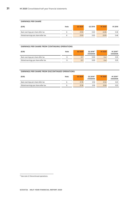# **EARNINGS PER SHARE**

| (EUR)                                | Note | Q2 2020 | Q2 2019 | H <sub>1</sub> 2020 | H1 2019 |
|--------------------------------------|------|---------|---------|---------------------|---------|
| Basic earnings per share after tax   |      | 21.93   | 0.25    | 22.06               | 0.48    |
| Diluted earnings per share after tax |      | 21.93   | 0.25    | 22.05               | 0.48    |

### **EARNINGS PER SHARE FROM CONTINUING OPERATIONS**

| (EUR)                                | Note | Q2 2020 | Q2 2019 <sup>12</sup><br>(restated) | H <sub>1</sub> 2020 | H1 2019 <sup>12</sup><br>(restated) |
|--------------------------------------|------|---------|-------------------------------------|---------------------|-------------------------------------|
| Basic earnings per share after tax   |      | 0.17    | 0.09                                | 0.42                | 0.25                                |
| Diluted earnings per share after tax |      | 0.17    | 0.09                                | 0.42                | 0.25                                |

# **EARNINGS PER SHARE FROM DISCONTINUED OPERATIONS**

| (EUR)                                | Note | Q2 2020 | Q2 2019 <sup>12</sup><br>(restated) | H <sub>1</sub> 2020 | H1 2019 <sup>12</sup><br>(restated) |
|--------------------------------------|------|---------|-------------------------------------|---------------------|-------------------------------------|
| Basic earnings per share after tax   |      | 21.76   | 0.16                                | 21.63               | 0.23                                |
| Diluted earnings per share after tax |      | 21.76   | 0.16                                | 21.63               | 0.23                                |

<sup>12</sup> See note 2.1 Discontinued operations.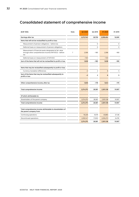# <span id="page-31-0"></span>**Consolidated statement of comprehensive income**

| (EUR '000)                                                                                                               | Note           | Q2 2020   | Q2 2019        | H1 2020   | H1 2019  |
|--------------------------------------------------------------------------------------------------------------------------|----------------|-----------|----------------|-----------|----------|
| Earnings after tax                                                                                                       |                | 2,272,740 | 26,759         | 2,299,494 | 52,081   |
| Items that will not be reclassified to profit or loss:                                                                   |                |           |                |           |          |
| Measurement of pension obligations - before tax                                                                          |                |           | 0              |           | 0        |
| Deferred taxes on measurement of pension obligations                                                                     |                |           | $\Omega$       |           | $\Omega$ |
| Measurement of financial assets designated at fair value<br>through other comprehensive income (FAFVOCI) - before<br>tax | $\overline{7}$ | 2.358     | $-180$         | 2.358     | $-180$   |
| Deferred taxes on measurement of FAFVOCI                                                                                 |                | $-720$    |                | $-720$    |          |
| Sum of the items that will not be reclassified to profit or loss                                                         |                | 1,638     | $-180$         | 1,638     | $-180$   |
|                                                                                                                          |                |           |                |           |          |
| Items that may be reclassified subsequently to profit or loss:                                                           |                |           |                |           |          |
| Currency translation differences                                                                                         |                | $-2$      | $\overline{2}$ | 6         | 5        |
| Sum of the items that may be reclassified subsequently to<br>profit or loss                                              |                | $-2$      | $\overline{2}$ | 6         | 5        |
| Other comprehensive income, after tax                                                                                    |                | 1,636     | $-178$         | 1.643     | $-175$   |
|                                                                                                                          |                |           |                |           |          |
| Total comprehensive income                                                                                               |                | 2,274,375 | 26,581         | 2,301,138 | 51,907   |
| Of which attributable to:                                                                                                |                |           |                |           |          |
| Shareholders of the parent company                                                                                       |                | 2,274,375 | 26,581         | 2,301,138 | 51,907   |
| Total comprehensive income                                                                                               |                | 2,274,375 | 26,581         | 2,301,138 | 51,907   |
|                                                                                                                          |                |           |                |           |          |
| Total comprehensive income attributable to shareholders of<br>the parent company from:                                   |                |           |                |           |          |
| Continuing operations                                                                                                    |                | 19,228    | 9,579          | 45.865    | 27.126   |
| Discontinued operations                                                                                                  |                | 2,255,147 | 17.003         | 2,255,273 | 24.781   |
|                                                                                                                          |                | 2,274,375 | 26,581         | 2,301,138 | 51,907   |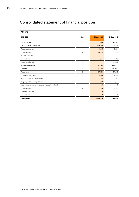# <span id="page-32-0"></span>**Consolidated statement of financial position**

| <b>ASSETS</b>                                     |                |              |              |
|---------------------------------------------------|----------------|--------------|--------------|
| (EUR '000)                                        | Note           | 30 Jun. 2020 | 31 Dec. 2019 |
| <b>Current assets</b>                             |                | 2,132,669    | 740,382      |
| Cash and cash equivalents                         |                | 1,384,319    | 65,574       |
| Trade receivables                                 |                | 25,830       | 31,241       |
| <b>Financial assets</b>                           | $\overline{7}$ | 684,020      | 1,290        |
| Income tax assets                                 |                | 37           | 32           |
| Other assets                                      |                | 38,463       | 7,450        |
| Assets held for sale                              | 2.1            |              | 634,795      |
| Non-current assets                                |                | 1,673,661    | 1,690,810    |
| Goodwill                                          | 3              | 692,690      | 692,690      |
| Trademarks                                        | 3              | 872,818      | 872,818      |
| Other intangible assets                           |                | 80,918       | 91,437       |
| Right-of-use assets from leases                   |                | 8,925        | 22,051       |
| Property, plant and equipment                     |                | 4,908        | 8,747        |
| Investments accounted for using the equity method |                | 329          | 247          |
| <b>Financial assets</b>                           | $\overline{7}$ | 13,048       | 2,525        |
| Deferred tax assets                               |                | 6            | 277          |
| Other assets                                      |                | 19           | 18           |
| <b>Total assets</b>                               |                | 3,806,330    | 2,431,192    |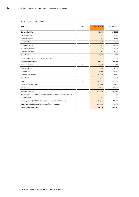# **EQUITY AND LIABILITIES**

| (EUR '000)                                                              | Note           | 30 Jun. 2020 | 31 Dec. 2019 |
|-------------------------------------------------------------------------|----------------|--------------|--------------|
| <b>Current liabilities</b>                                              |                | 118,405      | 210,809      |
| Trade payables                                                          |                | 13,505       | 17,905       |
| <b>Financial liabilities</b>                                            | $\overline{7}$ | 11,427       | 26,666       |
| Lease liabilities                                                       |                | 4,520        | 4,834        |
| Other provisions                                                        |                | 14,442       | 48,038       |
| Income tax liabilities                                                  |                | 48.738       | 17,124       |
| Contract liabilities                                                    |                | 8,973        | 8,339        |
| Other liabilities                                                       |                | 16,800       | 16.192       |
| Liabilities associated with assets held for sale                        | 2.1            |              | 71,710       |
| <b>Non-current liabilities</b>                                          |                | 591,653      | 1,166,465    |
| <b>Financial liabilities</b>                                            | $\overline{7}$ | 250.299      | 805.199      |
| Lease liabilities                                                       |                | 15,858       | 18,075       |
| Other provisions                                                        |                | 35,116       | 44,983       |
| Deferred tax liabilities                                                |                | 287,946      | 296,060      |
| <b>Other liabilities</b>                                                |                | 2,434        | 2,148        |
| Equity                                                                  | 8              | 3,096,272    | 1,053,919    |
| Subscribed share capital                                                |                | 107,600      | 107,600      |
| Capital reserve                                                         |                | 171,133      | 171,133      |
| Retained earnings                                                       |                | 3,109,708    | 904,083      |
| Measurement of pension obligations associated with assets held for sale |                |              | $-206$       |
| Other reserves                                                          |                | 2,523        | 879          |
| Treasury shares (5,020,218 shares; previous year: 2,437,041 shares)     |                | $-294,692$   | $-129,571$   |
| Equity attributable to shareholders of parent company                   |                | 3,096,272    | 1,053,919    |
| Total equity and liabilities                                            |                | 3,806,330    | 2,431,192    |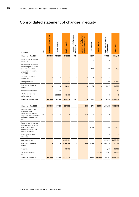# <span id="page-34-0"></span>**Consolidated statement of changes in equity**

| (EUR '000)                                                                                                                               | Note | Subscribed share capital | Capital reserve          | Retained earnings | Measurement of pension<br>obligations | Measurement of pension<br>assets held for sale<br>obligations associated<br>with | Other reserves | Treasury shares          | Equity attributable to<br>shareholders | <b>Total equity</b> |
|------------------------------------------------------------------------------------------------------------------------------------------|------|--------------------------|--------------------------|-------------------|---------------------------------------|----------------------------------------------------------------------------------|----------------|--------------------------|----------------------------------------|---------------------|
| Balance at 1 Jan. 2019                                                                                                                   |      | 107,600                  | 423,689                  | 640,296           | $-121$                                | $\qquad \qquad -$                                                                | 1,047          | $\overline{\phantom{0}}$ | 1,172,511                              | 1,172,511           |
| Measurement of pension<br>obligations                                                                                                    |      |                          |                          |                   | 0                                     |                                                                                  |                |                          | 0                                      | $\mathbf 0$         |
| Measurement of financial<br>assets designated at fair<br>value through other<br>comprehensive income<br>(FAFVOCI)                        |      |                          |                          |                   |                                       |                                                                                  | $-180$         |                          | $-180$                                 | $-180$              |
| Currency translation<br>differences                                                                                                      |      |                          |                          |                   |                                       |                                                                                  | 5              |                          | 5                                      | 5                   |
| Earnings after tax                                                                                                                       |      |                          | ÷,                       | 52,081            | $\overline{\phantom{a}}$              |                                                                                  | ٠              |                          | 52,081                                 | 52,081              |
| Total comprehensive<br>income                                                                                                            |      | $\mathbf 0$              | 0                        | 52,081            | 0                                     | $\mathbf 0$                                                                      | $-175$         | 0                        | 51,907                                 | 51,907              |
| Share-based payments                                                                                                                     |      |                          | 42                       |                   |                                       |                                                                                  |                |                          | 42                                     | 42                  |
| Withdrawal from the<br>capital reserve                                                                                                   |      |                          | $-252,632$               | 252,632           |                                       |                                                                                  |                |                          | 0                                      | $\mathbf 0$         |
| Balance at 30 Jun. 2019                                                                                                                  |      | 107,600                  | 171,098                  | 945,009           | $-121$                                | $\overline{\phantom{0}}$                                                         | 872            | $\overline{\phantom{0}}$ | 1,224,459                              | 1,224,459           |
|                                                                                                                                          |      |                          |                          |                   |                                       |                                                                                  |                |                          |                                        |                     |
| Balance at 1 Jan. 2020                                                                                                                   |      | 107,600                  | 171,133                  | 904,083           |                                       | $-206$                                                                           | 879            | $-129,571$               | 1,053,919                              | 1,053,919           |
| Reclassification of the<br>remeasurement<br>gains/losses on pension<br>obligations associated with<br>assets held for sale, after<br>tax | 2.1  |                          |                          | $-206$            |                                       | 206                                                                              |                |                          | $\mathbf 0$                            | $\mathbf 0$         |
| Measurement of financial<br>assets designated at fair<br>value through other<br>comprehensive income<br>(FAFVOCI), after tax             | 7    |                          |                          |                   |                                       |                                                                                  | 1,638          |                          | 1,638                                  | 1,638               |
| Currency translation<br>differences                                                                                                      |      |                          |                          |                   |                                       |                                                                                  | 6              |                          | 6                                      | 6                   |
| Earnings after tax                                                                                                                       |      |                          | $\overline{\phantom{m}}$ | 2,299,494         | $\overline{\phantom{m}}$              |                                                                                  |                |                          | 2,299,494                              | 2,299,494           |
| Total comprehensive<br>income                                                                                                            |      |                          | $\blacksquare$           | 2,299,289         | ٠                                     | 206                                                                              | 1,643          |                          | 2,301,138                              | 2,301,138           |
| Dividends                                                                                                                                | 8    |                          | $\overline{\phantom{a}}$ | $-93,663$         | $\qquad \qquad \blacksquare$          |                                                                                  | ÷,             |                          | $-93,663$                              | $-93,663$           |
| Purchase of treasury<br>shares                                                                                                           | 8    |                          |                          |                   | ÷,                                    |                                                                                  |                | $-165,121$               | $-165,121$                             | -165,121            |
| Balance at 30 Jun. 2020                                                                                                                  |      | 107,600                  | 171,133                  | 3,109,708         | $\frac{1}{2}$                         | $\overline{a}$                                                                   |                | 2,523 -294,692           | 3,096,272                              | 3,096,272           |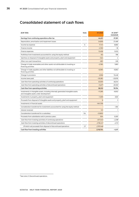# <span id="page-35-0"></span>**Consolidated statement of cash flows**

| (EUR '000)                                                                                                                    | Note | H1 2020    | H1 2019 <sup>13</sup><br>(restated) |
|-------------------------------------------------------------------------------------------------------------------------------|------|------------|-------------------------------------|
| Earnings from continuing operations after tax                                                                                 |      | 44,221     | 27,301                              |
| Depreciation, amortisation and impairment losses                                                                              |      | 24.859     | 27.489                              |
| Income tax expense                                                                                                            | 5    | 17,141     | 8,860                               |
| Finance income                                                                                                                |      | $-2,150$   | -18                                 |
| Finance expenses                                                                                                              |      | 12,406     | 9.103                               |
| Profit/loss from investments accounted for using the equity method                                                            |      | $-82$      | 786                                 |
| Gain/loss on disposal of intangible assets and property, plant and equipment                                                  |      | $-524$     | 4                                   |
| Other non-cash transactions                                                                                                   |      | $-691$     | 249                                 |
| Change in trade receivables and other assets not attributable to investing or<br>financing activities                         |      | $-2,760$   | 1,863                               |
| Change in trade payables and other liabilities not attributable to investing or<br>financing activities                       |      | $-6,090$   | $-8,863$                            |
| Change in provisions                                                                                                          |      | 2,056      | 15,448                              |
| Income taxes paid                                                                                                             |      | $-35,382$  | $-33,978$                           |
| Cash flow from operating activities of continuing operations                                                                  |      | 53,004     | 48,244                              |
| Cash flow from operating activities of discontinued operations                                                                |      | $-14,671$  | 30,550                              |
| Cash flow from operating activities                                                                                           |      | 38,333     | 78,794                              |
| Investments in intangible assets, including internally generated intangible assets<br>and intangible assets under development |      | $-11,269$  | $-6,652$                            |
| Investments in property, plant and equipment                                                                                  |      | $-1,309$   | $-600$                              |
| Proceeds from disposal of intangible assets and property, plant and equipment                                                 |      | 6          | 3                                   |
| Investments in financial assets                                                                                               |      | $-641,706$ |                                     |
| Consideration transferred for investments accounted for using the equity method                                               |      |            | $-350$                              |
| Interest received                                                                                                             |      | 131        | 1                                   |
| Consideration transferred for a subsidiary                                                                                    | 9.4  | $-23,800$  |                                     |
| Proceeds from subsidiaries sold in previous years                                                                             |      | 504        | 5,300                               |
| Cash flow from investing activities of continuing operations                                                                  |      | $-677.443$ | $-2.298$                            |
| Cash flow from investing activities of discontinued operations                                                                |      | 2,794,147  | $-2,113$                            |
| Of which net proceeds from disposal of discontinued operations                                                                | 2.1  | 2,797,448  |                                     |
| Cash flow from investing activities                                                                                           |      | 2,116,704  | -4,411                              |

<sup>13</sup>See note 2.1 Discontinued operations.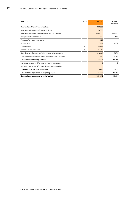| (EUR '000)                                                     | Note | H1 2020    | H1 2019 <sup>13</sup><br>(restated) |
|----------------------------------------------------------------|------|------------|-------------------------------------|
| Raising of short-term financial liabilities                    |      | 100,000    |                                     |
| Repayment of short-term financial liabilities                  |      | $-120,000$ |                                     |
| Repayment of medium- and long-term financial liabilities       |      | $-560.000$ | $-53,000$                           |
| Repayment of lease liabilities                                 |      | $-2,463$   | $-2,771$                            |
| Proceeds from lease receivables                                |      | 323        |                                     |
| Interest paid                                                  |      | $-7,297$   | $-6,876$                            |
| Dividends paid                                                 | 8    | $-93,663$  |                                     |
| Purchase of treasury shares                                    | 8    | $-157,467$ |                                     |
| Cash flow from financing activities of continuing operations   |      | $-840.567$ | $-62.647$                           |
| Cash flow from financing activities of discontinued operations |      | $-541$     | $-1,709$                            |
| Cash flow from financing activities                            |      | $-841,108$ | $-64,356$                           |
| Net foreign exchange difference, continuing operations         |      | 5          | 5                                   |
| Net foreign exchange difference, discontinued operations       |      |            |                                     |
| Change in cash and cash equivalents                            |      | 1,313,934  | 10,032                              |
| Cash and cash equivalents at beginning of period               |      | 70,385     | 59,202                              |
| Cash and cash equivalents at end of period                     |      | 1,384,319  | 69.234                              |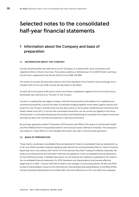# <span id="page-37-0"></span>**Selected notes to the consolidated half-year financial statements**

# <span id="page-37-1"></span>**1 Information about the Company and basis of preparation**

### **1.1 INFORMATION ABOUT THE COMPANY**

Scout24 AG (hereinafter also referred to as the "Company") is a listed public stock corporation with registered office in Munich, Germany. The business address is: Bothestrasse 13-15, 81675 Munich, Germany. Scout24 AG is registered at the Munich District Court (HRB 220 696).

The shares of Scout24 AG have been listed on the Prime Standard of the Frankfurt Stock Exchange since 1 October 2015. On 18 June 2018, Scout24 AG was listed on the MDAX.

Scout24 AG as the parent entity and its direct and indirect subsidiaries together form the Scout24 Group (hereinafter also referred to as "Scout24" or the "Group").

Scout24 is a leading German digital company. With the ImmoScout24 online platform for residential and commercial properties, Scout24 has been successfully bringing together home sellers, agents, tenants and buyers for over 20 years. ImmoScout24 has also been active on the Austrian residential and commercial real estate market since 2012. To ensure that real estate transactions can be carried out digitally in the future, ImmoScout24 is continually developing new products and establishing an ecosystem for property rental and purchase as well as for commercial properties in Germany and Austria.

By purchase agreement dated 17 December 2019 Scout24 sold 100% of the shares in AutoScout24 GmbH and FFG FINANZCHECK Finanzportale GmbH to the financial investor Hellman & Friedman. The transaction was closed on 1 April 2020. For more detailed information see note 2.1 Discontinued operations.

# **1.2 BASIS OF PREPARATION**

These interim condensed consolidated financial statements ("interim consolidated financial statements") as of 30 June 2020 have been prepared applying International Accounting Standard (IAS) 34 "Interim Financial Reporting" and in accordance with Article 115 of the German Securities Trading Act (WpHG). Generally, the same accounting policies and estimation methods are applied as in the consolidated financial statements for the 2019 financial year. A detailed description of such policies and methods is published in the notes to the consolidated financial statements for 2019. Standards and interpretations that became effective beginning on or after 1 January 2020 did not lead to any changes in accounting policies. All IASs and IFRSs as well as interpretations issued by the International Financial Reporting Interpretations Committee (IFRIC), formerly Standing Interpretations Committee (SIC), that were effective as of 30 June 2020 were adopted.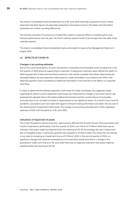The interim consolidated financial statements as of 30 June 2020 have been prepared in euros. Unless otherwise indicated, figures are generally presented in thousands of euros. The tables and information presented can contain rounding differences.

The business activities of Scout24 are not generally subject to seasonal effects. Considering the usual business performance over the year, the fourth calendar quarter tends to be stronger than the other three calendar quarters.

The interim consolidated financial statements were authorised for issue by the Management Board on 3 August 2020.

# **1.3 EFFECTS OF COVID-19**

### **Changes in accounting estimates**

Due to the Covid-19 pandemic, Scout24 introduced a comprehensive immediate-action programme in the first quarter of 2020 aimed at supporting its customers. Professional customers were offered the option of deferring payment of their April and May invoices for nine months (Liquidity Plus). When determining the estimated default risk and expected credit losses for trade receivables in accordance with IFRS 9, the deferred payments were considered as additional information in the estimate of the effects on expected cash flows.

In order to determine the lifetime expected credit losses for trade receivables, the judgement made regarding the extent to which expected credit losses are influenced by changes in economic factors was analysed and adjusted. Due to the stable political environment and the current nature of receivables, forecasts have so far not been included in measurement to any significant extent. As a result of the Covid-19 pandemic, assumptions are now made with regard to forward-looking information and taken into account in the measurement of expected credit losses. This change in accounting estimates led to other operating expenses of EUR 1,410 thousand as of 30 June 2020.

# **Indications of impairment of assets**

The Covid-19 pandemic and its economic repercussions affected the Scout24 Group's financial position and results of operations, particularly in the first quarter of 2020, such that as of 31 March 2020 there was an indication that assets might be impaired within the meaning of IAS 36. Accordingly, last year's impairment test of intangible assets, in particular goodwill, was reviewed on 31 March 2020. The review did not indicate in any need to recognise an impairment loss as of 31 March 2020. In the second quarter of 2020, no significant changes with adverse consequences occurred which would have led to a change in the assumptions made, such that as of 30 June 2020 there was no objective indication that assets might be impaired within the meaning of IAS 36.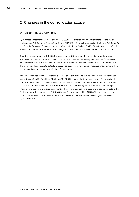# <span id="page-39-0"></span>**2 Changes in the consolidation scope**

# **2.1 DISCONTINUED OPERATIONS**

By purchase agreement dated 17 December 2019, Scout24 entered into an agreement to sell the digital marketplaces AutoScout24, FinanceScout24 and FINANZCHECK, which were part of the former AutoScout24 and Scout24 Consumer Services segments, to Speedster Bidco GmbH, HRB 253178, with registered office in Munich. Speedster Bidco GmbH, in turn, belongs to a fund of the financial investor Hellman & Friedman.

Therefore, in accordance with IFRS 5, the assets and liabilities attributable to the digital marketplaces AutoScout24, FinanceScout24 and FINANZCHECK were presented separately as assets held for sale and liabilities associated with assets held for sale in the statement of financial position as of 31 December 2019. The income and expenses attributable to these operations were retroactively reported under earnings from discontinued operations for the entire 2019 financial year.

The transaction was formally and legally closed as of 1 April 2020. The sale was effected by transferring all shares in AutoScout24 GmbH and FFG FINANZCHECK Finanzportale GmbH to the buyer. The provisional purchase price, based on preliminary net financial debt and net working capital indicators, was EUR 2.839 billion at the time of closing and was paid on 31 March 2020. Following the presentation of the closing financials and the corresponding adjustment of the net financial debt and net working capital indicators, the final purchase price amounted to EUR 2.834 billion. The resulting liability of EUR 4,509 thousand is reported under other current liabilities as of 30 June 2020. The sale of the entities resulted in a gain after tax of EUR 2.234 billion.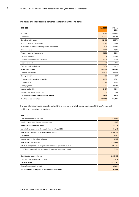# The assets and liabilities sold comprise the following main line items:

| (EUR '000)                                        | 1 Apr. 2020 | 31 Dec.<br>2019 |
|---------------------------------------------------|-------------|-----------------|
| Goodwill                                          | 378,384     | 378,384         |
| Trademarks                                        | 118,392     | 118,392         |
| Other intangible assets                           | 52,472      | 50,373          |
| Right-of-use assets from leases                   | 3,048       | 2,993           |
| Investments accounted for using the equity method | 37,918      | 37,623          |
| <b>Financial assets</b>                           | 1,324       | 1,585           |
| Property, plant and equipment                     | 7,708       | 2,619           |
| Trade receivables                                 | 22,214      | 32,384          |
| Other assets and deferred tax assets              | 4,815       | 4,942           |
| Income tax assets                                 | 47          | 690             |
| Cash and cash equivalents                         | 15,434      | 4,811           |
| Assets held for sale                              | 641,755     | 634,795         |
| Deferred tax liabilities                          | 44,602      | 45,159          |
| Other provisions                                  | 486         | 557             |
| Financial liabilities and lease liabilities       | 2,587       | 3.262           |
| Other liabilities                                 | 42,291      | 8,448           |
| Trade payables                                    | 12,762      | 12,399          |
| Income tax liabilities                            | 3,497       | 1,190           |
| Pensions and similar obligations                  | 711         | 695             |
| Liabilities associated with assets held for sale  | 106,937     | 71,710          |
| Total net assets identified                       | 534,818     | 563,085         |

The sale of discontinued operations had the following overall effect on the Scout24 Group's financial position and results of operations:

**(EUR '000)**

| Consideration received in cash                                       | 2,838,685  |
|----------------------------------------------------------------------|------------|
| Liability from the purchase price adjustment                         | $-4,509$   |
| Purchase price after adjustment                                      | 2,834,176  |
| Identified net assets upon deconsolidation as of 1 April 2020        | $-534,818$ |
| Gain on disposal before costs of disposal and tax                    | 2,299,358  |
| Costs to sell                                                        | $-26,067$  |
| Income taxes on the gain on disposal                                 | $-38,795$  |
| Gain on disposal after tax                                           | 2,234,496  |
| Of which recognised in earnings from discontinued operations in 2020 | 2,258,823  |
| Of which recognised in earnings from discontinued operations in 2019 | $-24,327$  |
|                                                                      |            |
| Consideration received in cash                                       | 2,838,685  |
| Cash and cash equivalents disposed of                                | $-15,434$  |
| Net cash inflow                                                      | 2,823,252  |
| Costs of disposal paid in 2020                                       | $-25,804$  |
| Net proceeds from disposal of discontinued operations                | 2,797,448  |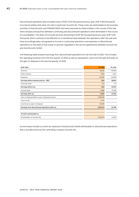Discontinued operations also included costs of EUR 5,744 thousand (previous year: EUR 11,953 thousand) incurred at entities that were not sold, in particular Scout24 AG. These costs are attributable to the business activities of AutoScout24 and FINANZCHECK and were assumed by these entities in the course of the sale. Intercompany transactions between continuing and discontinued operations were eliminated in the course of consolidation. This does not include services amounting to EUR 164 thousand (previous year: EUR 1,276 thousand), which continue to be effected on a transitional basis between the operations after the sale and have accordingly been recognised as income in continuing operations and expenses in discontinued operations on the basis of the scope of services regulated in the service agreements between Scout24 AG and AutoScout24 GmbH.

The following table presents earnings from discontinued operations for the first half of 2020. This includes the operating business from the first quarter of 2020 as well as subsequent costs from the sale and taxes on the gain on disposal in the second quarter of 2020.

| (EUR '000)                                        | H <sub>1</sub> 2020 | H <sub>1</sub> 2019 |
|---------------------------------------------------|---------------------|---------------------|
| Revenue                                           | 56,626              | 129,385             |
| Other revenue                                     | 1,949               | 3,914               |
| Expenses                                          | $-59,499$           | $-93,496$           |
| Earnings before interest and tax - EBIT           | $-923$              | 39,803              |
| Financial result                                  | 272                 | 773                 |
| Earnings before tax                               | $-652$              | 40,576              |
| Income taxes                                      | $-2,898$            | $-15,796$           |
| Earnings after tax                                | $-3,550$            | 24,780              |
| Gain on disposal before costs of disposal and tax | 2,299,358           |                     |
| Costs to sell                                     | $-1,740$            |                     |
| Income tax on gain on disposal                    | $-38,795$           |                     |
| Earnings from discontinued operations after tax   | 2,255,273           | 24,780              |
|                                                   |                     |                     |
| Of which attributable to:                         |                     |                     |
| Shareholders of Scout24 AG                        | 2,255,273           | 24,780              |
|                                                   |                     |                     |

Income taxes include a current tax expense of AutoScout24 GmbH attributable to discontinued operations that is actually borne by the controlling company Scout24 AG.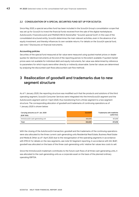# **2.2 CONSOLIDATION OF A SPECIAL SECURITIES FUND SET UP FOR SCOUT24**

Since May 2020, a special securities fund has been included in the Scout24 Group's consolidation scope that was set up for Scout24 to invest the financial funds received from the sale of the digital marketplaces AutoScout24, FinanceScout24 and FINANZCHECK (hereinafter "Scout24 special fund"). In the case of the consolidated structured entity, Scout24 determines the main relevant activities, even in the absence of an equity investment, and thereby influences its own variable returns. For details on the Scout24 special fund, see note 7 Disclosures on financial instruments.

### **Accounting policies**

Securities of the special fund measured at fair value were measured using quoted market prices or dealer quotes for identical instruments at the end of the reporting period, to the extent available. If quoted market prices were not available for individual debt and equity instruments, fair value was determined by reference to parameters for which inputs were either directly or indirectly observable. Some fair values are determined by analysing the discounted cash flows (discounted cash flow method).

# <span id="page-42-0"></span>**3 Reallocation of goodwill and trademarks due to new segment structure**

As of 1 January 2020, the reporting structure was modified such that the products and solutions of the third operating segment, Scout24 Consumer Services were integrated into the ImmoScout24 segment and the AutoScout24 segment sold on 1 April 2020, thus transitioning from a three-segment to a two-segment structure. The corresponding allocation of goodwill and trademarks of continuing operations as of 1 January 2020 is shown below:

| Carrying amounts as of 1 Jan. 2020<br>(EUR '000) | <b>Goodwill</b> | Trademarks with indefinite<br>useful lives |
|--------------------------------------------------|-----------------|--------------------------------------------|
| ImmoScout24 cash-generating unit                 | 692.690         | 872.818                                    |
| Total                                            | 692.690         | 872.818                                    |

With the closing of the AutoScout24 transaction, goodwill and the trademarks of the continuing operations were also allocated to the three current cash-generating units Residential Real Estate, Business Real Estate and Media & Other as of 1 April 2020 due to the reorganisation of the operating segments in accordance with IFRS 8. For details on the new segments, see note 9.3 Segment reporting. In accordance with IAS 36.87, goodwill was allocated on the basis of the three cash-generating units' relative fair values less costs to sell.

Since the ImmoScout24 trademark contributes to the future cash flows of all three cash-generating units, it was allocated to the cash-generating units as a corporate asset on the basis of the planned ordinary operating EBITDA.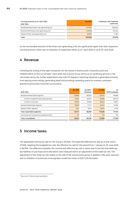| Carrying amounts as of 1 April 2020<br>(EUR '000) | <b>Goodwill</b> | Trademarks with indefinite<br>useful lives |
|---------------------------------------------------|-----------------|--------------------------------------------|
| Residential Real Estate cash-generating unit      | 517,000         | 600.032                                    |
| Business Real Estate cash-generating unit         | 145,053         | 201.425                                    |
| Media & Other cash-generating unit                | 30,637          | 71.361                                     |
| Total                                             | 692.690         | 872.818                                    |

<span id="page-43-0"></span>As the recoverable amounts of the three cash-generating units are significantly higher than their respective carrying amounts, there was no indication of impairment either as of 1 April 2020 or as of 30 June 2020.

# **4 Revenue**

Following the closing of the sales transaction for the shares in AutoScout24, FinanceScout24 and FINANZCHECK on the cut-off date 1 April 2020, the Scout24 Group will focus on rendering services in the real estate sector (for further explanations see note 9.3 Segment reporting). Revenue is generated primarily from placing online listings, generating leads and providing marketing space for business customers (partners) and private customers (consumers).

|                                             | Q2 2020 | Q2 2019 <sup>14</sup> | H <sub>1</sub> 2020 | H <sub>1</sub>                |
|---------------------------------------------|---------|-----------------------|---------------------|-------------------------------|
| (EUR '000)                                  |         | (restated)            |                     | 2019 <sup>14</sup> (restated) |
| Residential Real Estate segment             | 59,860  | 60,832                | 123.242             | 119,998                       |
| of which residential real estate partners   | 41,632  | 40.873                | 84,899              | 80.440                        |
| of which consumers                          | 18.229  | 19.959                | 38,343              | 39,557                        |
| <b>Business Real Estate segment</b>         | 16.630  | 17.214                | 34,547              | 34.061                        |
| Media & Other segment                       | 7.257   | 8,812                 | 15.047              | 17.135                        |
| Total, reportable segments                  | 83.747  | 86,858                | 172.835             | 171.194                       |
| Central group functions/consolidation/other | 127     | 81                    | 150                 | 105                           |
| <b>Total, consolidated</b>                  | 83,874  | 86.939                | 172.985             | 171.299                       |

# <span id="page-43-1"></span>**5 Income taxes**

The applicable nominal tax rate for the Group is 30.54%. The expected effective tax rate as of year-end is 27.93%. Applying the budgeted tax rate, the effective tax rate for the period from 1 January to 30 June 2020 is 26.78%. The difference between the nominal and effective tax rate is mainly due to the fact that deferred tax liabilities on purchase price allocations were reduced due to an adjustment of the trade tax rate. The adjustment of the trade tax rate relates to the sale of the AutoScout24 group. In addition, they were reduced due to utilisation of previously unrecognised unused tax losses of EUR 1,225 thousand.

<sup>&</sup>lt;sup>14</sup> See note 2.1 Discontinued operations.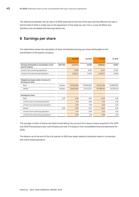The difference between the tax rate of 27.93% expected at the end of the year and the effective tax rate in the first half of 2020 is chiefly due to the adjustment of the trade tax rate. This is a one-off effect and therefore not correlated with earnings before tax.

# <span id="page-44-0"></span>**6 Earnings per share**

The table below shows the calculation of basic and diluted earnings per share attributable to the shareholders of the parent company:

|                                                                |                 | Q2 2020     | Q2 2019     | H1 2020     | H1 2019     |
|----------------------------------------------------------------|-----------------|-------------|-------------|-------------|-------------|
|                                                                |                 |             |             |             |             |
| Earnings attributable to shareholders of the<br>parent company | <b>EUR '000</b> | 2,272,740   | 26.759      | 2,299,494   | 52,081      |
| of which from continuing operations                            |                 | 17,592      | 9.756       | 44.221      | 27,301      |
| of which from discontinued operations                          |                 | 2,255,147   | 17,003      | 2,255,273   | 24,780      |
|                                                                |                 |             |             |             |             |
| Weighted average number of shares for<br>earnings per share    |                 |             |             |             |             |
| Basic                                                          | Number          | 103,620,663 | 107,600,000 | 104,244,555 | 107,600,000 |
| Diluted                                                        | Number          | 103,620,663 | 107,743,723 | 104,269,530 | 107,765,478 |
|                                                                |                 |             |             |             |             |
| Earnings per share                                             |                 |             |             |             |             |
| Basic                                                          | <b>EUR</b>      | 21.93       | 0.25        | 22.06       | 0.48        |
| of which from continuing operations                            |                 | 0.17        | 0.09        | 0.42        | 0.25        |
| of which from discontinued operations                          |                 | 21.76       | 0.16        | 21.63       | 0.23        |
| Diluted                                                        | <b>EUR</b>      | 21.93       | 0.25        | 22.05       | 0.48        |
| of which from continuing operations                            |                 | 0.17        | 0.09        | 0.42        | 0.25        |
| of which from discontinued operations                          |                 | 21.76       | 0.16        | 21.63       | 0.23        |

The average number of shares was determined taking into account the treasury shares acquired in the 2019 and 2020 financial years (see note 8 Equity and note 4.15 Equity in the consolidated financial statements for 2019).

The dilution up to the end of the first quarter of 2020 was solely related to potential shares in connection with share-based payments.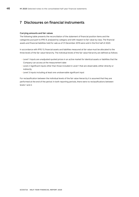# <span id="page-45-0"></span>**7 Disclosures on financial instruments**

### **Carrying amounts and fair values**

The following table presents the reconciliation of the statement of financial position items and the categories pursuant to IFRS 9, analysed by category and with respect to fair value by class. The financial assets and financial liabilities held for sale as of 31 December 2019 were sold in the first half of 2020.

In accordance with IFRS 13, financial assets and liabilities measured at fair value must be allocated to the three levels of the fair value hierarchy. The individual levels of the fair value hierarchy are defined as follows:

- Level 1: Inputs are unadjusted quoted prices in an active market for identical assets or liabilities that the Company can access at the measurement date
- Level 2: Significant inputs other than those included in Level 1 that are observable, either directly or indirectly
- Level 3: Inputs including at least one unobservable significant input

For reclassification between the individual levels of the fair value hierarchy it is assumed that they are performed at the end of the period. In both reporting periods, there were no reclassifications between levels 1 and 2.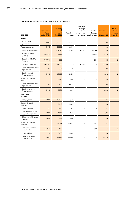# **AMOUNT RECOGNISED IN ACCORDANCE WITH IFRS 9**

| (EUR '000)                                  | <b>Measuremen</b><br>t category<br>under IFRS 9 | Carrying<br>amount<br>as of<br>30 Jun. 2020 | Amortised<br>cost | Fair value<br>through<br>other<br>comprehens<br>ive income | Fair value<br>through<br>profit or loss | <b>Fair value as</b><br>of<br>30 Jun. 2020 | Level of<br>the fair<br>value<br>hierarchy |
|---------------------------------------------|-------------------------------------------------|---------------------------------------------|-------------------|------------------------------------------------------------|-----------------------------------------|--------------------------------------------|--------------------------------------------|
| Assets                                      |                                                 |                                             |                   |                                                            |                                         |                                            |                                            |
| Cash and cash<br>equivalents                | <b>FAAC</b>                                     | 1,384,319                                   | 1,384,319         |                                                            |                                         | n/a                                        |                                            |
| Trade receivables                           | <b>FAAC</b>                                     | 25,830                                      | 25,830            |                                                            |                                         | n/a                                        |                                            |
| Current financial assets                    |                                                 | 684,020                                     | 39,909            | 517,566                                                    | 126,545                                 | n/a                                        |                                            |
| Securities at FVTPL<br>(Level 1)            | <b>FAFVTPL</b>                                  | 125,546                                     |                   |                                                            | 125,546                                 | 125,546                                    | $\mathbf{1}$                               |
| Securities at FVTPL<br>(Level 2)            | <b>FAFVTPL</b>                                  | 999                                         |                   |                                                            | 999                                     | 999                                        | $\overline{2}$                             |
| Securities at FVOCI                         | <b>FAFVOCI</b>                                  | 517,566                                     |                   | 517,566                                                    | $\overline{a}$                          | 517,566                                    | $\overline{2}$                             |
| Receivables from lease<br>agreements        | n/a                                             | 1,317                                       | 1,317             |                                                            |                                         | n/a                                        |                                            |
| Sundry current<br>financial assets          | <b>FAAC</b>                                     | 38,592                                      | 38,592            |                                                            |                                         | 38,592                                     | $\overline{2}$                             |
| Non-current financial<br>assets             |                                                 | 13,048                                      | 13,048            |                                                            |                                         | n/a                                        |                                            |
| Receivables from lease<br>agreements        | n/a                                             | 10,018                                      | 10,018            |                                                            |                                         | n/a                                        |                                            |
| Sundry non-current<br>financial assets      | <b>FAAC</b>                                     | 3,030                                       | 3,030             |                                                            |                                         | 2,998                                      | $\overline{2}$                             |
| <b>Equity and</b><br>liabilities            |                                                 |                                             |                   |                                                            |                                         |                                            |                                            |
| Trade payables                              | <b>FLAC</b>                                     | 13,505                                      | 13.505            |                                                            |                                         | n/a                                        |                                            |
| Current financial<br>liabilities            |                                                 | 15,948                                      | 15,948            |                                                            |                                         | n/a                                        |                                            |
| Lease liabilities                           | n/a                                             | 4,520                                       | 4,520             |                                                            |                                         | n/a                                        |                                            |
| Liabilities from share<br>buyback programme | <b>FLAC</b>                                     | 9,981                                       | 9,981             |                                                            |                                         | 9,981                                      | $\overline{2}$                             |
| Other current financial<br>liabilities      | <b>FLAC</b>                                     | 1,447                                       | 1,447             |                                                            |                                         | n/a                                        |                                            |
| Non-current financial<br>liabilities        |                                                 | 266,157                                     | 265,510           |                                                            | 647                                     | n/a                                        |                                            |
| Derivative financial<br>instruments         | <b>FLFVTPL</b>                                  | 647                                         |                   |                                                            | 647                                     | 647                                        | $\overline{2}$                             |
| Lease liabilities                           | n/a                                             | 15,858                                      | 15,858            |                                                            |                                         | n/a                                        |                                            |
| Other non-current<br>financial liabilities  | <b>FLAC</b>                                     | 249,652                                     | 249,652           |                                                            |                                         | 240,779                                    | $\overline{2}$                             |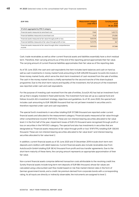| (EUR '000)                                                                    | <b>Measurement category</b><br>under IFRS 9 | <b>Carrying amount</b><br>as of<br>30 Jun. 2020 |
|-------------------------------------------------------------------------------|---------------------------------------------|-------------------------------------------------|
| Of which aggregated by IFRS 9 category                                        |                                             |                                                 |
| Financial assets measured at amortised cost                                   | <b>FAAC</b>                                 | 1.451.772                                       |
| Financial liabilities measured at amortised cost                              | FLAC.                                       | 274,584                                         |
| Financial assets measured at fair value through profit or loss                | <b>FAFVTPL</b>                              | 126.545                                         |
| Financial liabilities measured at fair value through profit or loss           | <b>FLFVTPL</b>                              | 647                                             |
| Financial assets measured at fair value through other comprehensive<br>income | <b>FAFVOCI</b>                              | 517,566                                         |

Cash, trade receivables as well as other current financial assets and liabilities essentially have a short residual term. Therefore, their carrying amounts as of the end of the reporting period approximate their fair value. The carrying amount of current financial liabilities approximates their fair value as of the reporting date.

As of 30 June 2020, the cash and cash equivalents line item includes bank balances and cash on hand as well as cash investments in money market funds amounting to EUR 409,259 thousand. Scout24 AG invests in three money market funds, which serve the short-term investment of cash received from the sale of entities. The cash in the money market funds is chiefly earmarked for the second tranche of the share buyback programme. Due to the short-term nature and liquidity of the investment, the full amount of the investment was reported under cash and cash equivalents.

For the purpose of investing cash received from the sale of entities, Scout24 AG has had an investment fund set up that is largely invested in fixed-yield bonds. The investment fund was set up as a special fund and follows Scout24 AG's investment strategy, objectives and guidelines. As of 30 June 2020, the special fund includes cash amounting to EUR 358,085 thousand that has not yet been invested in securities and is therefore reported under cash and cash equivalents.

The special fund's investments in securities totalling EUR 517,566 thousand are reported under current financial assets and allocated to the measurement category "Financial assets measured at fair value through other comprehensive income" (FAFVOCI). These are non-interest-bearing securities allocated to fair value level 2. In the first half of the year, impairment losses of EUR 213 thousand were recognised through profit or loss on securities in the FAFVOCI category. The special fund also has investments in securities that are designated as "Financial assets measured at fair value through profit or loss" (FAFVTPL) totalling EUR 126,545 thousand. These are non-interest-bearing securities allocated to fair value level 1 and interest-bearing securities allocated to fair value level 2.

In addition, current financial assets as of 30 June 2020 and 31 December 2019 include short-term rent deposits and creditors with debit balances. Current financial assets also include receivables due from AutoScout24 GmbH totalling EUR 38,142 thousand from profit and loss transfer agreements. Due to the short-term maturity of these items, the carrying amount represents an appropriate approximation of their fair value.

Non-current financial assets comprise deferred transaction costs attributable to the revolving credit line. Sundry financial assets include long-term rent deposits of EUR 864 thousand, whose fair values are calculated using a discounted cash flow model based on risk-free market interest rates in the form of German government bonds, and a credit risk premium derived from corporate bonds with a corresponding rating. As all inputs are directly or indirectly observable, the instruments are assigned to level 2.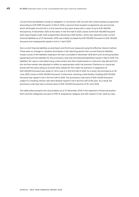Current financial liabilities include an obligation in connection with Scout24 AG's share buyback programme amounting to EUR 9,981 thousand. In March 2020, a second share buyback programme was announced, which will enable Scout24 AG in a first tranche to buy back shares with a value of up to EUR 490,000 thousand by 31 December 2020 at the latest. In the first half of 2020, shares worth EUR 165,069 thousand were repurchased under both programmes. Revolving credit facility I, which was reported under current financial liabilities as of 31 December 2019, was initially increased by EUR 100,000 thousand to EUR 120,000 thousand and subsequently repaid in full on 1 April 2020.

Non-current financial liabilities at amortised cost (FLAC) are measured using the effective interest method. There were no changes in valuation techniques in the reporting period. Non-current financial liabilities mostly consist of the liabilities relating to the loan concluded in December 2016 (term and revolving facilities agreement) and the liabilities for the promissory note loan (Schuldscheindarlehen) issued in March 2018. The liabilities' fair value is calculated using a discounted cash flow model based on a discount rate derived from the risk-free market rate adjusted to reflect an appropriate credit risk premium. Premiums on corporate bonds with the same rating as Scout24 were utilised for the credit risk premium. A repayment of EUR 200,000 thousand was made on Term Loan A in the first half of 2020. As a result, the principal as of 30 June 2020 comes to EUR 100,000 thousand. Furthermore, revolving credit facility II totalling EUR 315,000 thousand was repaid in full in the first half of 2020. The promissory note loans of EUR 45,000 thousand subject to a floating interest rate were likewise repaid in full in the first half of the year. As a result, the promissory note loan had a nominal value of EUR 152,000 thousand as of 30 June 2020.

The table below presents the reconciliation as of 31 December 2019 of the statement of financial position items and the categories pursuant to IFRS 9, analysed by category and with respect to fair value by class.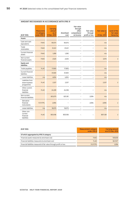# **AMOUNT RECOGNISED IN ACCORDANCE WITH IFRS 9**

|                                                   | <b>Measureme</b><br>nt category | Carrying<br>amount<br>as of | Amortised | Fair value<br>through<br>other<br>comprehensi | Fair value<br>through    | <b>Fair value as</b><br>of | Level of the<br>fair value |
|---------------------------------------------------|---------------------------------|-----------------------------|-----------|-----------------------------------------------|--------------------------|----------------------------|----------------------------|
| (EUR '000)                                        | under IFRS 9                    | 31 Dec. 2019                | cost      | ve income                                     | profit or loss           | 31 Dec. 2019               | hierarchy                  |
| Assets                                            |                                 |                             |           |                                               |                          |                            |                            |
| Cash and cash<br>equivalents                      | <b>FAAC</b>                     | 65,574                      | 65,574    |                                               |                          | n/a                        |                            |
| Trade<br>receivables                              | <b>FAAC</b>                     | 31,241                      | 31,241    |                                               |                          | n/a                        |                            |
| Current financial<br>assets                       | <b>FAAC</b>                     | 1,290                       | 1,290     |                                               |                          | n/a                        |                            |
| Non-current<br>financial assets                   | <b>FAAC</b>                     | 2,525                       | 2,525     |                                               |                          | 2,515                      | $\overline{2}$             |
| <b>Equity and</b><br><b>liabilities</b>           |                                 |                             |           |                                               |                          |                            |                            |
| Trade payables                                    | <b>FLAC</b>                     | 17,905                      | 17,905    |                                               |                          | n/a                        |                            |
| Current financial<br>liabilities                  |                                 | 31,500                      | 31,500    |                                               |                          | n/a                        |                            |
| Lease liabilities                                 | n/a                             | 4,834                       | 4,834     |                                               | $\overline{\phantom{0}}$ | n/a                        |                            |
| Liabilities from<br>share buyback<br>programme    | <b>FLAC</b>                     | 2,327                       | 2,327     |                                               |                          | 2,327                      | $\overline{2}$             |
| Other current<br>financial<br>liabilities         | <b>FLAC</b>                     | 24,339                      | 24,339    |                                               |                          | n/a                        |                            |
| Non-current<br>financial liabilities              |                                 | 823,275                     | 821,181   |                                               | 2,094                    | n/a                        |                            |
| Derivative<br>financial<br>instruments            | <b>FLFVTPL</b>                  | 2,094                       |           |                                               | 2,094                    | 2,094                      | $\overline{2}$             |
| Lease liabilities                                 | n/a                             | 18,075                      | 18,075    |                                               |                          | n/a                        |                            |
| Other non-<br>current<br>financial<br>liabilities | <b>FLAC</b>                     | 803,106                     | 803,106   |                                               |                          | 807,128                    | $\overline{2}$             |

| (EUR '000)                                                          | <b>Measurement category</b><br>under IFRS 9 | <b>Carrying amount</b><br>as of 31 Dec. 2019 |
|---------------------------------------------------------------------|---------------------------------------------|----------------------------------------------|
| Of which aggregated by IFRS 9 category                              |                                             |                                              |
| Financial assets measured at amortised cost                         | <b>FAAC</b>                                 | 100,630                                      |
| Financial liabilities measured at amortised cost                    | <b>FLAC</b>                                 | 847,677                                      |
| Financial liabilities measured at fair value through profit or loss | <b>FLFVTPL</b>                              | 2.094                                        |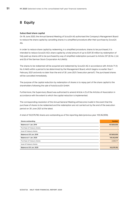# <span id="page-50-0"></span>**8 Equity**

### **Subscribed share capital**

On 18 June 2020, the Annual General Meeting of Scout24 AG authorised the Company's Management Board to reduce the share capital by cancelling shares in a simplified procedure after their purchase by Scout24 AG.

In order to reduce share capital by redeeming, in a simplified procedure, shares to be purchased, it is intended to reduce Scout24 AG's share capital by a total amount of up to EUR 30 million by redemption of fully paid-up shares still to be purchased by way of simplified redemption pursuant to Article 237 (3) No. 2, (4) and (5) of the German Stock Corporation Act (AktG).

The shares to be redeemed will be acquired and redeemed by Scout24 AG in accordance with Article 71 (1) No. 6 AktG within a period to be determined by the Management Board, which begins no earlier than 1 February 2021 and ends no later than the end of 30 June 2021 ("execution period"). The purchased shares will be cancelled immediately.

The purpose of the capital reduction by redemption of shares is to repay part of the share capital to the shareholders following the sale of AutoScout24 GmbH.

Furthermore, the Supervisory Board was authorised to amend Article 4 (1) of the Articles of Association in accordance with the extent to which the capital reduction is implemented.

The corresponding resolution of the Annual General Meeting will become invalid in the event that the purchase of shares to be redeemed and the redemption are not carried out by the end of the execution period on 30 June 2021 at the latest.

A total of 102,579,782 shares are outstanding as of the reporting date (previous year: 105,162,959).

| Shares outstanding          | <b>Number</b> |
|-----------------------------|---------------|
| Balance at 1 Jan. 2019      | 107,600,000   |
| Purchase of treasury shares |               |
| Issue of treasury shares    |               |
| Balance at 30 Jun. 2019     | 107,600,000   |
| Balance at 1 Jan. 2020      | 105,162,959   |
| Purchase of treasury shares | $-2,583,177$  |
| Issue of treasury shares    |               |
| Balance at 30 Jun. 2020     | 102,579,782   |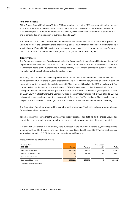# **Authorised capital**

At the Annual General Meeting on 18 June 2020, new authorised capital 2020 was created in return for cash and/or non-cash contributions with the option to exclude subscription rights. This replaces the previous authorised capital 2015 under the Articles of Association, which would have expired on 3 September 2020 and is cancelled upon registration of authorised capital 2020.

For authorised capital 2020, the Management Board was authorised, with the approval of the Supervisory Board, to increase the Company's share capital by up to EUR 32,280 thousand in one or more tranches up to (and including) 17 June 2025 by issuing new registered no-par value shares in return for cash and/or noncash contributions. The shareholders must generally be granted subscription rights.

### **Treasury shares**

The Company's Management Board was authorised by Scout24 AG's Annual General Meeting of 8 June 2017 to purchase treasury shares pursuant to Article 71 (1) No. 8 of the German Stock Corporation Act (AktG); the Management Board is thus authorised to purchase treasury shares for any permissible purpose within the context of statutory restrictions and under certain terms.

Exercising said authorisation, the Management Board of Scout24 AG announced on 25 March 2020 that it would carry out a further share buyback programme of up to EUR 690 million, building on the share buyback transactions carried out up to the end of January 2020 (see note 4.15 Equity in the 2019 annual report). This corresponds to a volume of up to approximately 13,018,867 shares based on the closing price in Xetra trading on the Frankfurt Stock Exchange (as of 3 April 2020: EUR 53,00). The share buyback process started on 6 April 2020. In a first tranche, the Company will repurchase treasury shares with a value of up to EUR 490 million on the stock exchange over the period up to 31 December 2020 at the latest. The remaining volume of up to EUR 200 million is to be bought back in 2021 by the date of the 2021 Annual General Meeting.

The Supervisory Board has approved the share buyback programme. The treasury shares are repurchased for legally permitted purposes.

Together with other shares that the Company has already purchased and still holds, the shares acquired as part of the share buyback programme will at no time account for more than 10% of the share capital.

A total of 2,583,177 shares in the Company were purchased in the course of the share buyback programme in the period from 1 to 31 January and from 6 April up to and including 30 June 2020. The transaction costs incurred amounted to EUR 52 thousand and were deducted from equity.

| <b>Treasury shares</b><br>(EUR '000) | <b>Number</b> | Tranche | Transaction<br>costs <sup>*</sup> | Total   |
|--------------------------------------|---------------|---------|-----------------------------------|---------|
| Balance at 1 Jan. 2020               | 2,437,041     | 129.507 | 64                                | 129.571 |
| Purchase of treasury shares          | 2,583,177     | 165.069 | 52                                | 165.121 |
| Issue of treasury shares             |               | -       | -                                 |         |
| Balance at 30 Jun. 2020              | 5,020,218     | 294,576 | 117                               | 294,692 |

Treasury shares developed as follows:

\* Taking into account the tax effect.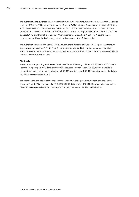The authorisation to purchase treasury shares of 8 June 2017 was renewed by Scout24 AG's Annual General Meeting of 18 June 2020 to the effect that the Company's Management Board was authorised until 17 June 2025 to purchase Scout24 AG treasury shares up to a total of 10% of the share capital at the time of the resolution or – if lower – at the time the authorisation is exercised. Together with other treasury shares held by Scout24 AG or attributable to Scout24 AG in accordance with Article 71a et seq. AktG, the shares acquired under this authorisation may not at any time exceed 10% of share capital.

The authorisation granted by Scout24 AG's Annual General Meeting of 8 June 2017 to purchase treasury shares pursuant to Article 71 (1) No. 8 AktG is revoked and replaced in full when this authorisation takes effect. This will not affect the authorisation by the Annual General Meeting of 8 June 2017 relating to the use of treasury shares of Scout24 AG.

# **Dividends**

Based on a corresponding resolution of the Annual General Meeting of 18 June 2020, in the 2020 financial year the Company paid a dividend of EUR 93,663 thousand (previous year: EUR 68,864 thousand) to its dividend-entitled shareholders, equivalent to EUR 0.91 (previous year: EUR 0.64) per dividend-entitled share (102,926,616 no-par-value shares).

The share capital entitled to dividends and thus the number of no-par-value dividend-entitled shares is based on Scout24 AG'share capital of EUR 107,600,000 divided into 107,600,000 no-par-value shares, less the 4,673,384 no-par-value shares held by the Company that are not entitled to dividends.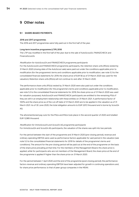# <span id="page-53-0"></span>**9 Other notes**

# **9.1 SHARE-BASED PAYMENTS**

### **2016 and 2017 programmes**

The 2016 and 2017 programmes were fully paid out in the first half of the year.

### **Long-term incentive programme (LTIP) 2018**

The LTIP was modified in the first half of the year due to the sale of AutoScout24, FINANZCHECK and FinanceScout24.

### Modification for AutoScout24 and FINANZCHECK programme participants

For the AutoScout24 and FINANZCHECK programme participants, the retention share units (RSUs) vested by 31 March 2020 (closing date of the AutoScout sale) were paid out under the conditions applicable prior to modification (for the programme's terms and conditions applicable prior to modification, see note 5.3 to the consolidated financial statements for 2019; the share price of EUR 56 as of 31 March 2020 was used for the valuation). Retention share units (RSUs) will not continue to vest after 31 March 2020.

The performance share units (PSUs) vested by 31 March 2020 were also paid out under the conditions applicable prior to modification (for the programme's terms and conditions applicable prior to modification, see note 5.3 to the consolidated financial statements for 2019; the share price as of 31 March 2020 was used for valuation purposes). AutoScout24 and FINANZCHECK participants are entitled to the remaining PSUs if they are still in an employment relationship with these entities on 31 March 2021. A performance factor of 100% and the share price as of the cut-off date of 31 March 2020 are to be applied in the valuation as of 31 March 2021. As of 30 June 2020, the total obligation amounts to EUR 5,972 thousand and is borne by Scout24 AG.

The aforementioned pay-outs for the PSUs and RSUs took place in the second quarter of 2020 and totalled EUR 12,985 thousand.

### Modification for ImmoScout24 and Scout24 AG programme participants

For ImmoScout24 and Scout24 AG participants, the valuation of the shares was split into two periods:

For the period between the start of the programme and 31 March 2020 (pre-closing period), revenue and ordinary operating EBITDA were used as performance factors applicable for said period in the valuation (see note 5.3 to the consolidated financial statements for 2019 for details of the programme's terms and conditions). The amount for the pre-closing period will be paid out at the end of the programme on the basis of the share price prevailing at that time. For the members of the Management Board, this share price is applied, while for participants who are not members of the Management Board, the share price at the end of the programme is applied if higher than the share price on 31 March 2020.

For the period between 1 April 2020 and the end of the programme (post-closing period), the performance factors revenue and ordinary operating EBITDA have been adjusted for growth in continuing operations and, for share price performance, to that of peer group companies in the MDAX.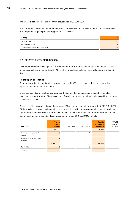The total obligation comes to EUR 33,496 thousand as of 30 June 2020.

The portfolio of shares held under the long-term incentive programme as of 30 June 2020, broken down into the pre-closing and post-closing periods, is as follows:

| (in '000)                           | LTIP |
|-------------------------------------|------|
| Pre-closing period                  | 439  |
| Post-closing period                 | 476  |
| Number of shares as of 30 June 2020 | 914  |

# **9.2 RELATED PARTY DISCLOSURES**

Related parties in the meaning of IAS 24 are deemed to be individuals or entities which Scout24 AG can influence, which can influence Scout24 AG, or which are influenced by any other related party of Scout24 AG.

### **Related parties (entities)**

As of the reporting date and during the past quarters of 2020, no party was able to exert control or significant influence over Scout24 AG.

In the course of its ordinary business activities, the Scout24 Group has relationships with some of its associates and joint ventures. The transactions of continuing operations with associates and joint ventures are disclosed below.

As a result of the discontinuation of the AutoScout24 operating segment, the associate SUMAUTO MOTOR S.L. is included in discontinued operations, and transactions with continuing operations and discontinued operations have been adjusted accordingly. The table below does not include transactions between the operating segments included in discontinued operations and SUMAUTO MOTOR S.L.

| (EUR '000)                              | <b>Total for</b><br>continuing<br>operations | Associate | Joint ventures          | <b>Total for</b><br>discontinued<br>operations | <b>SUMAUTO</b><br><b>MOTOR S.L.</b><br>(associate) |
|-----------------------------------------|----------------------------------------------|-----------|-------------------------|------------------------------------------------|----------------------------------------------------|
|                                         | H1 2020                                      |           |                         | H1 2020                                        |                                                    |
| Services rendered and other<br>income   | 8                                            |           | 8                       |                                                |                                                    |
| Services received and other<br>expenses | $-72$                                        |           | $-72$                   | $-15$                                          | $-15$                                              |
|                                         | 30 Jun. 2020                                 |           |                         | 30 Jun. 2020                                   |                                                    |
| Receivables                             |                                              |           | $\overline{\mathbf{c}}$ |                                                |                                                    |
| Liabilities                             |                                              |           | ٠                       |                                                |                                                    |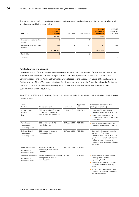The extent of continuing operations' business relationships with related party entities in the 2019 financial year is presented in the table below:

| (EUR '000)                              | <b>Total for</b><br>continuing<br>operations | Associate                | Joint ventures | <b>Total for</b><br>discontinued<br>operations | <b>SUMAUTO</b><br><b>MOTOR S.L.</b><br>(associate) |
|-----------------------------------------|----------------------------------------------|--------------------------|----------------|------------------------------------------------|----------------------------------------------------|
|                                         | H1 2019                                      |                          |                | H1 2019                                        |                                                    |
| Services rendered and other<br>income   | 9                                            | ٠                        | 9              |                                                |                                                    |
| Services received and other<br>expenses | $-97$                                        |                          | $-97$          | $-46$                                          | -46                                                |
|                                         | 31 Dec. 2019                                 |                          |                | 31 Dec. 2019                                   |                                                    |
| Receivables                             |                                              |                          | $\overline{2}$ |                                                |                                                    |
| Liabilities                             |                                              | $\overline{\phantom{a}}$ | -              |                                                | 3                                                  |

# **Related parties (individuals)**

Upon conclusion of the Annual General Meeting on 18 June 2020, the term of office of all members of the Supervisory Board ended. Dr. Hans-Holger Albrecht, Mr. Christoph Brand, Mr. Frank H. Lutz, Mr. Peter Schwarzenbauer and Mr. André Schwämmlein were elected to the Supervisory Board of Scout24 AG for a further term of office of four years. Ms. Ciara Smyth stepped down from the Supervisory Board effective as of the end of the Annual General Meeting 2020. Dr. Elke Frank was elected as new member to the Supervisory Board of Scout24 AG.

As of 30 June 2020, the Supervisory Board comprises the six individuals listed below who hold the following further offices.

| Name<br><b>Function</b>                               | Profession exercised                                        | Member since   | Appointed<br>until                                                                   | Other board positions in 2020<br>(during term of office)                                                               |
|-------------------------------------------------------|-------------------------------------------------------------|----------------|--------------------------------------------------------------------------------------|------------------------------------------------------------------------------------------------------------------------|
| Dr Hans-Holger<br>Albrecht                            | CEO and member of the Board<br>of Directors of Deezer S.A., | 21 June 2018   | AGM 2024                                                                             | · Ice Group ASA, Oslo, Norway<br>(member of the Board of Directors)                                                    |
| Paris, France and London, UK<br>Chair                 |                                                             |                | • VEON Ltd. Hamilton. Bermuda<br>(non-executive member of the Board<br>of Directors) |                                                                                                                        |
| Frank H. Lutz<br>Member of the<br>Supervisory Board   | CEO of CRX Markets AG,<br>Munich, Germany                   | 30 August 2019 | AGM 2024                                                                             | Bilfinger SE, Mannheim, Germany<br>(member of the Supervisory Board)                                                   |
| Christoph Brand<br>Member of the<br>Supervisory Board | CEO of Axpo Holding AG,<br>Baden, Switzerland               | 30 August 2019 | <b>AGM 2024</b>                                                                      | • Centralschweizerische Kraftwerke<br>AG, Lucerne, Switzerland<br>(member of the Board of Directors)                   |
|                                                       |                                                             |                |                                                                                      | gfm Schweizerische Gesellschaft für<br>Marketing, Zurich, Switzerland<br>(member of the Management Board,<br>pro bono) |
| André Schwämmlein                                     | Managing Director of<br>FlixMobility GmbH, Munich,          | 30 August 2019 | AGM 2024                                                                             |                                                                                                                        |
| Member of the<br>Supervisory Board                    | Germany                                                     |                |                                                                                      |                                                                                                                        |
| Peter Schwarzenbauer                                  | Former member of the Board of                               | 8 June 2017    | AGM 2024                                                                             | • UnternehmerTUM GmbH, Munich,                                                                                         |
| Member of the<br>Supervisory Board                    | Management of BMW AG,<br>Munich, Germany                    |                |                                                                                      | Germany (member of the<br>Supervisory Board)                                                                           |
|                                                       |                                                             |                |                                                                                      | · Lunewave, Inc., Tucson (AZ), United<br>States (member of the Advisory<br>Board)                                      |
|                                                       |                                                             |                |                                                                                      | Mobility Impact Partners LLC, New<br>York (NY), United States (member of<br>the Advisory Board)                        |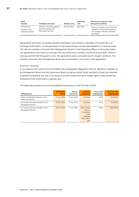| Name<br><b>Function</b>                             | Profession exercised                                                    | Member since | Appointed<br>until | Other board positions in 2020<br>(during term of office)                                                                     |
|-----------------------------------------------------|-------------------------------------------------------------------------|--------------|--------------------|------------------------------------------------------------------------------------------------------------------------------|
| Dr Elke Frank<br>Member of the<br>Supervisory Board | Member of the Management<br>Board of Software AG,<br>Darmstadt, Germany | 18 June 2020 | AGM 2024           | Board of Trustees of the Fraunhofer<br>Institute for Industrial Engineering<br>IAO, Stuttgart, Germany (member,<br>pro bono) |

Agreements have been concluded between Immobilien Scout GmbH, a subsidiary of Scout24 AG, and Homeday GmbH, Berlin, on the placement of real estate listings and the intermediation of customer leads. The wife of a member of Scout24 AG's Management Board is Chief Operating Officer of Homeday GmbH. The agreements have a term of one year from April 2020 and a contract volume of around EUR 1 million in revenue and EUR 100 thousand in costs. The agreements were concluded at arm's length conditions. The member of Scout24 AG's Management Board was not involved in conclusion of the agreement.

### **Directors' dealings**

In accordance with Article 19 (1) of the Market Abuse Regulation (Regulation (EU) No. 596/2014), members of the Management Board and the Supervisory Board as well as certain family members of theirs are required to publish immediately any sale or purchase of Scout24 shares and other related rights if they exceed the threshold of EUR 5,000 within a calendar year.

The table below presents a list of the published transactions in the first half of 2020:

| Notifying party                                          | <b>Notification</b><br>dated | Date of<br>transaction | Nature of<br>transaction                                                                  | Price in EUR<br>(aggregated) | <b>Volume in EUR</b><br>(aggregated) |
|----------------------------------------------------------|------------------------------|------------------------|-------------------------------------------------------------------------------------------|------------------------------|--------------------------------------|
| André Schwämmlein (member of the<br>Supervisory Board)   | 17 Jun. 2020                 | 16 Jun. 2020           | Purchase                                                                                  | 67.50                        | 101.250.00                           |
| Dr. Thomas Schroeter (member of the<br>Management Board) | 20 Jan. 2020                 | 17 Jan. 2020           | Purchase                                                                                  | 61.55                        | 141,565.00                           |
| Dr. Thomas Schroeter (member of the<br>Management Board) | 20 Jan. 2020                 | 17 Jan. 2020           | Sale of virtual<br>shares $-$<br>transaction<br>under<br>employee<br>stock option<br>plan | 59.65                        | 894.750.00                           |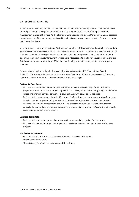# **9.3 SEGMENT REPORTING**

IFRS 8 requires operating segments to be identified on the basis of an entity's internal management and reporting structure. The organisational and reporting structure of the Scout24 Group is based on management by area of business. As the chief operating decision-maker, the Management Board assesses the performance of the various segments and the allocation of resources on the basis of a reporting system that it has established.

In the previous financial year, the Scout24 Group had structured its business operations in three operating segments within the meaning of IFRS 8: ImmoScout24, AutoScout24 and Scout24 Consumer Services. As of 1 January 2020, the reporting structure was modified such that the products and solutions of the third operating segment, Scout24 Consumer Services were integrated into the ImmoScout24 segment and the AutoScout24 segment sold on 1 April 2020, thus transitioning from a three-segment to a two-segment structure.

Since closing of the transaction for the sale of the shares in AutoScout24, FinanceScout24 and FINANZCHECK, the following segment structure applies from 1 April 2020; the previous year's figures and figures for the first quarter of 2020 have been restated accordingly:

### **Residential Real Estate**

- Business with residential real estate partners, i.e. real estate agents primarily offering residential properties for sale or rent, property management and housing companies that regularly enter into new leases, and financial services partners, e.g. savings banks, with estate agent activities
- Business with consumers who directly offer properties for sale or rent and who are looking for or have looked for rental properties (using services such as credit checks and/or premium membership)
- Business with removal companies to whom IS24 sells moving leads as well as with banks, financial consultants, loan brokers, insurance companies and intermediaries to whom IS24 sells financing leads and property-related insurance leads

### **Business Real Estate**

- Business with real estate agents who primarily offer commercial properties for sale or rent
- Business with real estate project developers and new home builders that market new construction projects

### **Media & Other segment**

- Business with advertisers who place advertisements on the IS24 marketplace
- ImmobilienScout24 Austria
- The subsidiary FlowFact (real estate agent CRM software)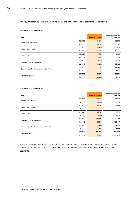The key indicators applied by Scout24 to assess the performance of its segments are as follows:

# **SEGMENT INFORMATION**

| (EUR '000)                                  |         | <b>External revenue</b> | Ordinary operating<br><b>EBITDA</b> |
|---------------------------------------------|---------|-------------------------|-------------------------------------|
|                                             | Q2 2020 | 59,860                  | 38,240                              |
| <b>Residential Real Estate</b>              | Q2 2019 | 60,832                  | 39,522                              |
| <b>Business Real Estate</b>                 | Q2 2020 | 16,630                  | 11,709                              |
|                                             | Q2 2019 | 17,214                  | 12,085                              |
| Media & Other                               | Q2 2020 | 7,257                   | 2,973                               |
|                                             | Q2 2019 | 8,812                   | 3,753                               |
| Total, reportable segments                  | Q2 2020 | 83,747                  | 52,922                              |
|                                             | Q2 2019 | 86,858                  | 55,361                              |
| Central group functions/consolidation/other | Q2 2020 | 127                     | $-2,578$                            |
|                                             | Q2 2019 | 81                      | $-1,706$                            |
| Total, consolidated                         | Q2 2020 | 83,874                  | 50,344                              |
|                                             | Q2 2019 | 86,939                  | 53,655                              |

# **SEGMENT INFORMATION**

| (EUR '000)                                  |         | <b>External revenue</b> | Ordinary operating<br><b>EBITDA</b> |
|---------------------------------------------|---------|-------------------------|-------------------------------------|
| <b>Residential Real Estate</b>              | H1 2020 | 123,242                 | 79,460                              |
|                                             | H1 2019 | 119,998                 | 75,371                              |
| <b>Business Real Estate</b>                 | H1 2020 | 34,547                  | 24,898                              |
|                                             | H1 2019 | 34,061                  | 23,226                              |
| Media & Other                               | H1 2020 | 15,047                  | 6,083                               |
|                                             | H1 2019 | 17,135                  | 6,851                               |
| Total, reportable segments                  | H1 2020 | 172,835                 | 110,441                             |
|                                             | H1 2019 | 171,194                 | 105,447                             |
|                                             | H1 2020 | 150                     | $-4,993$                            |
| Central group functions/consolidation/other | H1 2019 | 105                     | $-3,635$                            |
| Total, consolidated                         | H1 2020 | 172,985                 | 105,448                             |
|                                             | H1 2019 | 171,299                 | 101,812                             |

The "central group functions/consolidation/other" item primarily contains costs incurred in connection with central group functions as well as consolidation and immaterial transactions not allocated to reportable segments.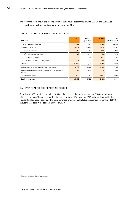The following table shows the reconciliation of the Group's ordinary operating EBITDA and EBITDA to earnings before tax from continuing operations under IFRS:

### **RECONCILIATION OF ORDINARY OPERATING EBITDA**

| (EUR '000)                                                            | Q2 2020   | Q2 2019 <sup>15</sup><br>(restated) | H <sub>1</sub> 2020 | H1<br>2019 <sup>15</sup> (restated) |
|-----------------------------------------------------------------------|-----------|-------------------------------------|---------------------|-------------------------------------|
| <b>Ordinary operating EBITDA</b>                                      | 50,344    | 53,655                              | 105,448             | 101,812                             |
| Non-operating effects                                                 | $-6,535$  | $-18,127$                           | $-9,053$            | $-28,292$                           |
| of which share-based payments                                         | $-4,782$  | $-10.072$                           | $-4,517$            | $-17,800$                           |
| of which M&A transactions                                             | $-129$    | $-5,906$                            | $-663$              | $-7,979$                            |
| of which reorganisation                                               | $-1,598$  | $-2,134$                            | $-3,570$            | $-2,487$                            |
| of which other non-operating effects                                  | $-26$     | $-15$                               | $-302$              | $-25$                               |
| <b>EBITDA</b>                                                         | 43,809    | 35,528                              | 96,395              | 73,520                              |
| Depreciation, amortisation and impairment losses                      | $-12,073$ | $-13,901$                           | $-24,859$           | $-27,489$                           |
| Profit/loss from investments accounted for using the equity<br>method | 48        | $-840$                              | 82                  | $-786$                              |
| Other financial result                                                | $-3,806$  | $-4,867$                            | $-10,256$           | $-9,084$                            |
| Earnings before tax                                                   | 27,978    | 15,921                              | 61,362              | 36,161                              |

# **9.4 EVENTS AFTER THE REPORTING PERIOD**

As of 1 July 2020, the Group acquired 100% of the shares in the entity immoverkauf24 GmbH, with registered office in Hamburg. The entity operates the real estate portal "immoverkauf24" and was allocated to the Residential Real Estate segment. The total purchase price was EUR 26,800 thousand, of which EUR 23,800 thousand was paid in the second quarter of 2020.

<sup>&</sup>lt;sup>15</sup> See note 2.1 Discontinued operations.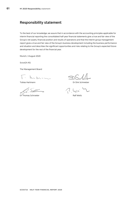# <span id="page-60-0"></span>**Responsibility statement**

To the best of our knowledge, we assure that in accordance with the accounting principles applicable for interim financial reporting the consolidated half-year financial statements give a true and fair view of the Group's net assets, financial position and results of operations and that the interim group management report gives a true and fair view of the Group's business development including the business performance and situation and describes the significant opportunities and risks relating to the Group's expected future development for the rest of the financial year.

Munich, 3 August 2020

Scout24 AG

The Management Board

 $h$ ha  $h$  $\ddot{\phantom{a}}$ 

Dr Thomas Schroeter **Ralf Weitz** 

 $\mathbb{Z}$ 

Tobias Hartmann and Dr Dirk Schmelzer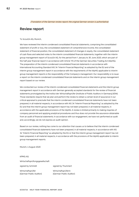[Translation of the German review report; the original German version is authoritative]

# <span id="page-61-0"></span>**Review report**

### To Scout24 AG, Munich,

We have reviewed the interim condensed consolidated financial statements, comprising the consolidated statement of profit or loss, the consolidated statement of comprehensive income, the consolidated statement of financial position, the consolidated statement of changes in equity, the consolidated statement of cash flows and selected notes to the interim consolidated financial statements, together with the interim group management report of Scout24 AG, for the period from 1 January to 30 June 2020, which are part of the half-year financial report in accordance with Article 115 of the German Securities Trading Act (WpHG). The preparation of the interim condensed consolidated financial statements in accordance with International Accounting Standard IAS 34 "Interim Financial Reporting" as adopted by the EU and of the interim group management report in accordance with the requirements of the WpHG applicable to interim group management reports is the responsibility of the Company's management. Our responsibility is to issue a report on the interim condensed consolidated financial statements and on the interim group management report based on our review.

We conducted our review of the interim condensed consolidated financial statements and the interim group management report in accordance with German generally accepted standards for the review of financial statements promulgated by the Institut der Wirtschaftsprüfer [Institute of Public Auditors in Germany] (IDW). Those standards require that we plan and perform the review to obtain a certain level of assurance in our critical appraisal to preclude that the interim condensed consolidated financial statements have not been prepared, in all material respects, in accordance with IAS 34 "Interim Financial Reporting" as adopted by the EU and that the interim group management report has not been prepared, in all material respects, in accordance with the applicable provisions of the WpHG. A review is limited primarily to making inquiries of company personnel and applying analytical procedures and thus does not provide the assurance obtainable from an audit of financial statements. In accordance with our engagement, we have not performed an audit and, accordingly, we do not express an audit opinion.

Based on our review, nothing has come to our attention that causes us to believe that the interim condensed consolidated financial statements have not been prepared, in all material respects, in accordance with IAS 34 "Interim Financial Reporting" as adopted by the EU or that the interim group management report has not been prepared, in all material respects, in accordance with the provisions of the WpHG applicable to interim group management reports.

Munich, 4 August 2020

KPMG AG

Wirtschaftsprüfungsgesellschaft

signed by Schmidt signed by Thummert

Wirtschaftsprüfer Wirtschaftsprüferin

[German Public Auditor] [German Public Auditor]